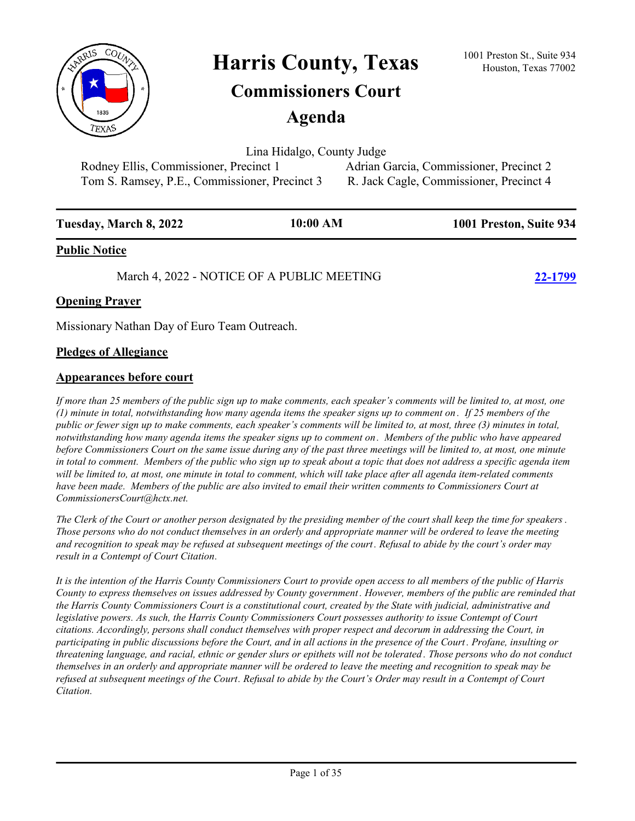

Harris County, Texas <sup>1001 Preston St., Suite 934</sup><br>Houston, Texas 77002

# **Commissioners Court**

**Agenda**

Lina Hidalgo, County Judge

Tom S. Ramsey, P.E., Commissioner, Precinct 3 R. Jack Cagle, Commissioner, Precinct 4

Rodney Ellis, Commissioner, Precinct 1 Adrian Garcia, Commissioner, Precinct 2

| Tuesday, March 8, 2022 | 10:00 AM | 1001 Preston, Suite 934 |
|------------------------|----------|-------------------------|
| <b>Public Notice</b>   |          |                         |

March 4, 2022 - NOTICE OF A PUBLIC MEETING **[22-1799](http://harriscountytx.legistar.com/gateway.aspx?m=l&id=/matter.aspx?key=12343)**

## **Opening Prayer**

Missionary Nathan Day of Euro Team Outreach.

### **Pledges of Allegiance**

### **Appearances before court**

*If more than 25 members of the public sign up to make comments, each speaker's comments will be limited to, at most, one (1) minute in total, notwithstanding how many agenda items the speaker signs up to comment on . If 25 members of the public or fewer sign up to make comments, each speaker's comments will be limited to, at most, three (3) minutes in total, notwithstanding how many agenda items the speaker signs up to comment on . Members of the public who have appeared before Commissioners Court on the same issue during any of the past three meetings will be limited to, at most, one minute in total to comment. Members of the public who sign up to speak about a topic that does not address a specific agenda item will be limited to, at most, one minute in total to comment, which will take place after all agenda item-related comments*  have been made. Members of the public are also invited to email their written comments to Commissioners Court at *CommissionersCourt@hctx.net.*

*The Clerk of the Court or another person designated by the presiding member of the court shall keep the time for speakers . Those persons who do not conduct themselves in an orderly and appropriate manner will be ordered to leave the meeting and recognition to speak may be refused at subsequent meetings of the court. Refusal to abide by the court's order may result in a Contempt of Court Citation.*

*It is the intention of the Harris County Commissioners Court to provide open access to all members of the public of Harris County to express themselves on issues addressed by County government . However, members of the public are reminded that the Harris County Commissioners Court is a constitutional court, created by the State with judicial, administrative and legislative powers. As such, the Harris County Commissioners Court possesses authority to issue Contempt of Court citations. Accordingly, persons shall conduct themselves with proper respect and decorum in addressing the Court, in participating in public discussions before the Court, and in all actions in the presence of the Court . Profane, insulting or threatening language, and racial, ethnic or gender slurs or epithets will not be tolerated . Those persons who do not conduct themselves in an orderly and appropriate manner will be ordered to leave the meeting and recognition to speak may be refused at subsequent meetings of the Court. Refusal to abide by the Court's Order may result in a Contempt of Court Citation.*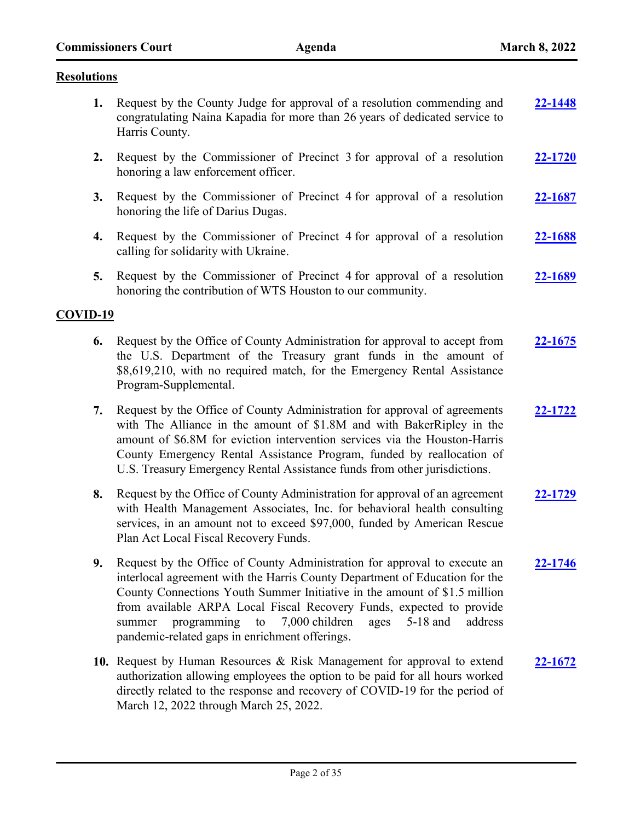#### **Resolutions**

- **1.** Request by the County Judge for approval of a resolution commending and congratulating Naina Kapadia for more than 26 years of dedicated service to Harris County. **[22-1448](http://harriscountytx.legistar.com/gateway.aspx?m=l&id=/matter.aspx?key=11992)**
- **2.** Request by the Commissioner of Precinct 3 for approval of a resolution honoring a law enforcement officer. **[22-1720](http://harriscountytx.legistar.com/gateway.aspx?m=l&id=/matter.aspx?key=12264)**
- **3.** Request by the Commissioner of Precinct 4 for approval of a resolution honoring the life of Darius Dugas. **[22-1687](http://harriscountytx.legistar.com/gateway.aspx?m=l&id=/matter.aspx?key=12231)**
- **4.** Request by the Commissioner of Precinct 4 for approval of a resolution calling for solidarity with Ukraine. **[22-1688](http://harriscountytx.legistar.com/gateway.aspx?m=l&id=/matter.aspx?key=12232)**
- **5.** Request by the Commissioner of Precinct 4 for approval of a resolution honoring the contribution of WTS Houston to our community. **[22-1689](http://harriscountytx.legistar.com/gateway.aspx?m=l&id=/matter.aspx?key=12233)**

#### **COVID-19**

- **6.** Request by the Office of County Administration for approval to accept from the U.S. Department of the Treasury grant funds in the amount of \$8,619,210, with no required match, for the Emergency Rental Assistance Program-Supplemental. **[22-1675](http://harriscountytx.legistar.com/gateway.aspx?m=l&id=/matter.aspx?key=12219)**
- **7.** Request by the Office of County Administration for approval of agreements with The Alliance in the amount of \$1.8M and with BakerRipley in the amount of \$6.8M for eviction intervention services via the Houston-Harris County Emergency Rental Assistance Program, funded by reallocation of U.S. Treasury Emergency Rental Assistance funds from other jurisdictions. **[22-1722](http://harriscountytx.legistar.com/gateway.aspx?m=l&id=/matter.aspx?key=12266)**
- **8.** Request by the Office of County Administration for approval of an agreement with Health Management Associates, Inc. for behavioral health consulting services, in an amount not to exceed \$97,000, funded by American Rescue Plan Act Local Fiscal Recovery Funds. **[22-1729](http://harriscountytx.legistar.com/gateway.aspx?m=l&id=/matter.aspx?key=12273)**
- **9.** Request by the Office of County Administration for approval to execute an interlocal agreement with the Harris County Department of Education for the County Connections Youth Summer Initiative in the amount of \$1.5 million from available ARPA Local Fiscal Recovery Funds, expected to provide summer programming to 7,000 children ages 5-18 and address pandemic-related gaps in enrichment offerings. **[22-1746](http://harriscountytx.legistar.com/gateway.aspx?m=l&id=/matter.aspx?key=12290)**
- **10.** Request by Human Resources & Risk Management for approval to extend authorization allowing employees the option to be paid for all hours worked directly related to the response and recovery of COVID-19 for the period of March 12, 2022 through March 25, 2022. **[22-1672](http://harriscountytx.legistar.com/gateway.aspx?m=l&id=/matter.aspx?key=12216)**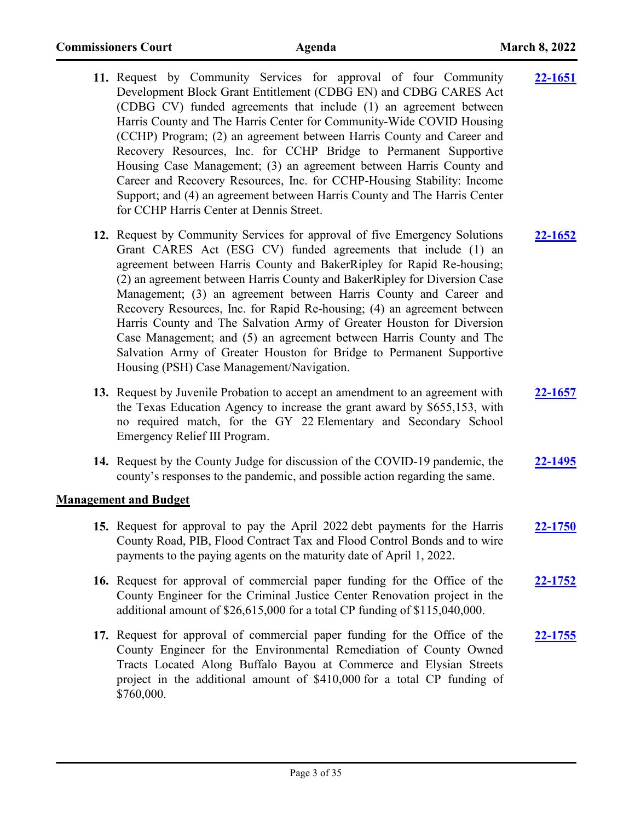| 11. Request by Community Services for approval of four Community<br>Development Block Grant Entitlement (CDBG EN) and CDBG CARES Act<br>(CDBG CV) funded agreements that include (1) an agreement between<br>Harris County and The Harris Center for Community-Wide COVID Housing<br>(CCHP) Program; (2) an agreement between Harris County and Career and<br>Recovery Resources, Inc. for CCHP Bridge to Permanent Supportive<br>Housing Case Management; (3) an agreement between Harris County and<br>Career and Recovery Resources, Inc. for CCHP-Housing Stability: Income<br>Support; and (4) an agreement between Harris County and The Harris Center<br>for CCHP Harris Center at Dennis Street.                | <u>22-1651</u> |
|-------------------------------------------------------------------------------------------------------------------------------------------------------------------------------------------------------------------------------------------------------------------------------------------------------------------------------------------------------------------------------------------------------------------------------------------------------------------------------------------------------------------------------------------------------------------------------------------------------------------------------------------------------------------------------------------------------------------------|----------------|
| 12. Request by Community Services for approval of five Emergency Solutions<br>Grant CARES Act (ESG CV) funded agreements that include (1) an<br>agreement between Harris County and BakerRipley for Rapid Re-housing;<br>(2) an agreement between Harris County and BakerRipley for Diversion Case<br>Management; (3) an agreement between Harris County and Career and<br>Recovery Resources, Inc. for Rapid Re-housing; (4) an agreement between<br>Harris County and The Salvation Army of Greater Houston for Diversion<br>Case Management; and (5) an agreement between Harris County and The<br>Salvation Army of Greater Houston for Bridge to Permanent Supportive<br>Housing (PSH) Case Management/Navigation. | <b>22-1652</b> |
| 13. Request by Juvenile Probation to accept an amendment to an agreement with<br>the Texas Education Agency to increase the grant award by \$655,153, with<br>no required match, for the GY 22 Elementary and Secondary School<br>Emergency Relief III Program.                                                                                                                                                                                                                                                                                                                                                                                                                                                         | 22-1657        |
| 14. Request by the County Judge for discussion of the COVID-19 pandemic, the<br>county's responses to the pandemic, and possible action regarding the same.                                                                                                                                                                                                                                                                                                                                                                                                                                                                                                                                                             | 22-1495        |
| <b>Management and Budget</b>                                                                                                                                                                                                                                                                                                                                                                                                                                                                                                                                                                                                                                                                                            |                |
| 15. Request for approval to pay the April 2022 debt payments for the Harris<br>County Road, PIB, Flood Contract Tax and Flood Control Bonds and to wire<br>payments to the paying agents on the maturity date of April 1, 2022.                                                                                                                                                                                                                                                                                                                                                                                                                                                                                         | 22-1750        |
| 16. Request for approval of commercial paper funding for the Office of the<br>County Engineer for the Criminal Justice Center Renovation project in the<br>additional amount of \$26,615,000 for a total CP funding of \$115,040,000.                                                                                                                                                                                                                                                                                                                                                                                                                                                                                   | <u>22-1752</u> |
| 17. Request for approval of commercial paper funding for the Office of the<br>County Engineer for the Environmental Remediation of County Owned<br>Tracts Located Along Buffalo Bayou at Commerce and Elysian Streets<br>project in the additional amount of \$410,000 for a total CP funding of<br>\$760,000.                                                                                                                                                                                                                                                                                                                                                                                                          | 22-1755        |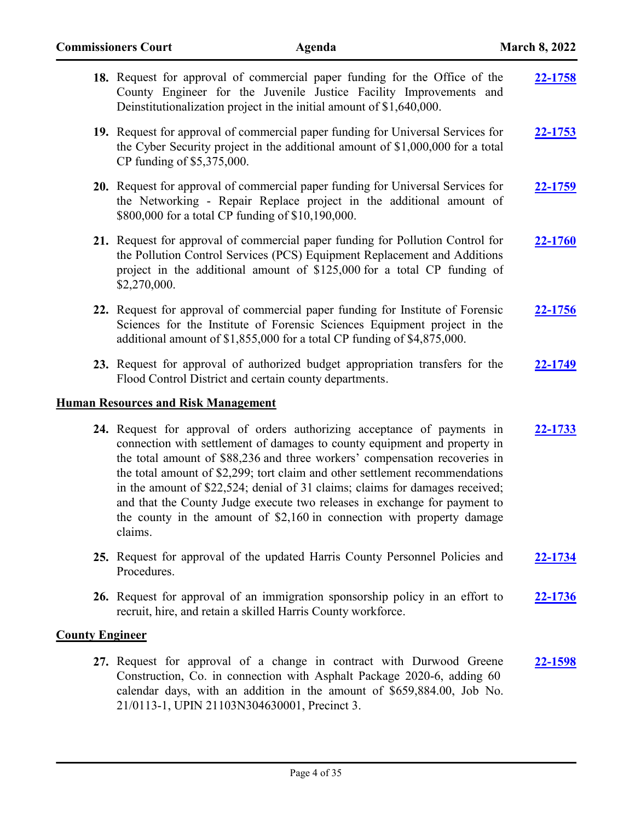|                        | 18. Request for approval of commercial paper funding for the Office of the<br>County Engineer for the Juvenile Justice Facility Improvements and<br>Deinstitutionalization project in the initial amount of \$1,640,000.                                                                                                                                                                                                                                                                                                                                              | 22-1758        |
|------------------------|-----------------------------------------------------------------------------------------------------------------------------------------------------------------------------------------------------------------------------------------------------------------------------------------------------------------------------------------------------------------------------------------------------------------------------------------------------------------------------------------------------------------------------------------------------------------------|----------------|
|                        | 19. Request for approval of commercial paper funding for Universal Services for<br>the Cyber Security project in the additional amount of \$1,000,000 for a total<br>CP funding of \$5,375,000.                                                                                                                                                                                                                                                                                                                                                                       | 22-1753        |
|                        | 20. Request for approval of commercial paper funding for Universal Services for<br>the Networking - Repair Replace project in the additional amount of<br>\$800,000 for a total CP funding of \$10,190,000.                                                                                                                                                                                                                                                                                                                                                           | 22-1759        |
|                        | 21. Request for approval of commercial paper funding for Pollution Control for<br>the Pollution Control Services (PCS) Equipment Replacement and Additions<br>project in the additional amount of \$125,000 for a total CP funding of<br>\$2,270,000.                                                                                                                                                                                                                                                                                                                 | 22-1760        |
|                        | 22. Request for approval of commercial paper funding for Institute of Forensic<br>Sciences for the Institute of Forensic Sciences Equipment project in the<br>additional amount of \$1,855,000 for a total CP funding of \$4,875,000.                                                                                                                                                                                                                                                                                                                                 | 22-1756        |
|                        | 23. Request for approval of authorized budget appropriation transfers for the<br>Flood Control District and certain county departments.                                                                                                                                                                                                                                                                                                                                                                                                                               | 22-1749        |
|                        | <b>Human Resources and Risk Management</b>                                                                                                                                                                                                                                                                                                                                                                                                                                                                                                                            |                |
|                        | 24. Request for approval of orders authorizing acceptance of payments in<br>connection with settlement of damages to county equipment and property in<br>the total amount of \$88,236 and three workers' compensation recoveries in<br>the total amount of \$2,299; tort claim and other settlement recommendations<br>in the amount of \$22,524; denial of 31 claims; claims for damages received;<br>and that the County Judge execute two releases in exchange for payment to<br>the county in the amount of \$2,160 in connection with property damage<br>claims. | 22-1733        |
|                        | 25. Request for approval of the updated Harris County Personnel Policies and<br>Procedures.                                                                                                                                                                                                                                                                                                                                                                                                                                                                           | <b>22-1734</b> |
|                        | 26. Request for approval of an immigration sponsorship policy in an effort to<br>recruit, hire, and retain a skilled Harris County workforce.                                                                                                                                                                                                                                                                                                                                                                                                                         | 22-1736        |
| <b>County Engineer</b> |                                                                                                                                                                                                                                                                                                                                                                                                                                                                                                                                                                       |                |
|                        | 27. Request for approval of a change in contract with Durwood Greene<br>Construction, Co. in connection with Asphalt Package 2020-6, adding 60<br>calendar days, with an addition in the amount of \$659,884.00, Job No.                                                                                                                                                                                                                                                                                                                                              | 22-1598        |

21/0113-1, UPIN 21103N304630001, Precinct 3.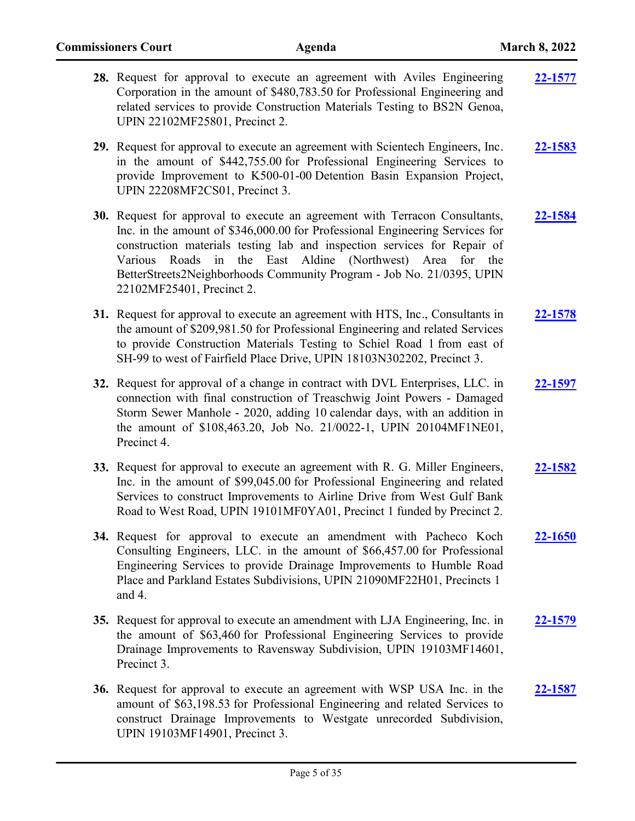| 28. Request for approval to execute an agreement with Aviles Engineering<br>Corporation in the amount of \$480,783.50 for Professional Engineering and<br>related services to provide Construction Materials Testing to BS2N Genoa,<br>UPIN 22102MF25801, Precinct 2.                                                                                                                                         | 22-1577        |
|---------------------------------------------------------------------------------------------------------------------------------------------------------------------------------------------------------------------------------------------------------------------------------------------------------------------------------------------------------------------------------------------------------------|----------------|
| 29. Request for approval to execute an agreement with Scientech Engineers, Inc.<br>in the amount of \$442,755.00 for Professional Engineering Services to<br>provide Improvement to K500-01-00 Detention Basin Expansion Project,<br>UPIN 22208MF2CS01, Precinct 3.                                                                                                                                           | 22-1583        |
| 30. Request for approval to execute an agreement with Terracon Consultants,<br>Inc. in the amount of \$346,000.00 for Professional Engineering Services for<br>construction materials testing lab and inspection services for Repair of<br>Roads in the East Aldine (Northwest) Area for the<br>Various<br>BetterStreets2Neighborhoods Community Program - Job No. 21/0395, UPIN<br>22102MF25401, Precinct 2. | 22-1584        |
| 31. Request for approval to execute an agreement with HTS, Inc., Consultants in<br>the amount of \$209,981.50 for Professional Engineering and related Services<br>to provide Construction Materials Testing to Schiel Road 1 from east of<br>SH-99 to west of Fairfield Place Drive, UPIN 18103N302202, Precinct 3.                                                                                          | 22-1578        |
| 32. Request for approval of a change in contract with DVL Enterprises, LLC. in<br>connection with final construction of Treaschwig Joint Powers - Damaged<br>Storm Sewer Manhole - 2020, adding 10 calendar days, with an addition in<br>the amount of \$108,463.20, Job No. 21/0022-1, UPIN 20104MF1NE01,<br>Precinct 4.                                                                                     | 22-1597        |
| 33. Request for approval to execute an agreement with R. G. Miller Engineers,<br>Inc. in the amount of \$99,045.00 for Professional Engineering and related<br>Services to construct Improvements to Airline Drive from West Gulf Bank<br>Road to West Road, UPIN 19101MF0YA01, Precinct 1 funded by Precinct 2.                                                                                              | 22-1582        |
| 34. Request for approval to execute an amendment with Pacheco Koch<br>Consulting Engineers, LLC. in the amount of \$66,457.00 for Professional<br>Engineering Services to provide Drainage Improvements to Humble Road<br>Place and Parkland Estates Subdivisions, UPIN 21090MF22H01, Precincts 1<br>and $4$ .                                                                                                | 22-1650        |
| 35. Request for approval to execute an amendment with LJA Engineering, Inc. in<br>the amount of \$63,460 for Professional Engineering Services to provide<br>Drainage Improvements to Ravensway Subdivision, UPIN 19103MF14601,<br>Precinct 3.                                                                                                                                                                | 22-1579        |
| 36. Request for approval to execute an agreement with WSP USA Inc. in the<br>amount of \$63,198.53 for Professional Engineering and related Services to<br>construct Drainage Improvements to Westgate unrecorded Subdivision,<br>UPIN 19103MF14901, Precinct 3.                                                                                                                                              | <b>22-1587</b> |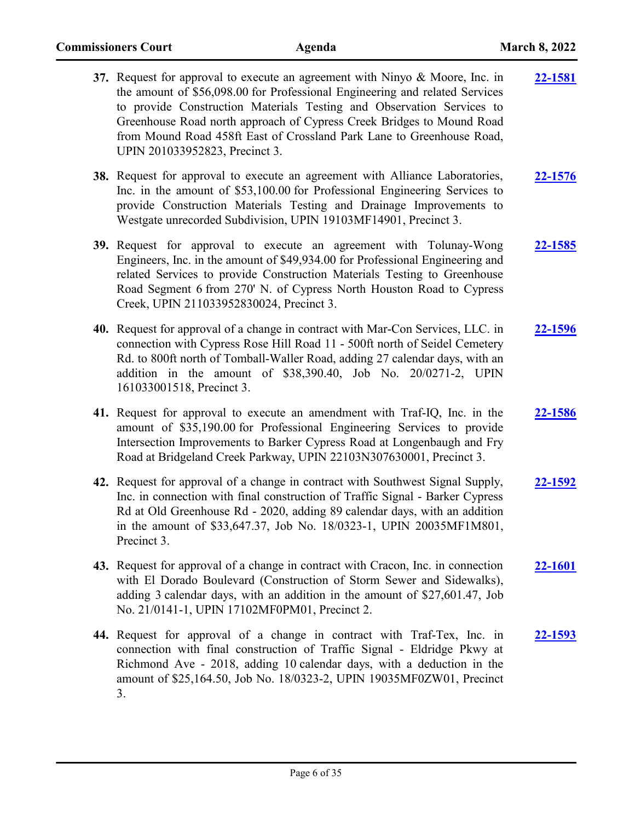| 37. Request for approval to execute an agreement with Ninyo & Moore, Inc. in<br>the amount of \$56,098.00 for Professional Engineering and related Services<br>to provide Construction Materials Testing and Observation Services to<br>Greenhouse Road north approach of Cypress Creek Bridges to Mound Road<br>from Mound Road 458ft East of Crossland Park Lane to Greenhouse Road,<br>UPIN 201033952823, Precinct 3. | 22-1581        |
|--------------------------------------------------------------------------------------------------------------------------------------------------------------------------------------------------------------------------------------------------------------------------------------------------------------------------------------------------------------------------------------------------------------------------|----------------|
| 38. Request for approval to execute an agreement with Alliance Laboratories,<br>Inc. in the amount of \$53,100.00 for Professional Engineering Services to<br>provide Construction Materials Testing and Drainage Improvements to<br>Westgate unrecorded Subdivision, UPIN 19103MF14901, Precinct 3.                                                                                                                     | 22-1576        |
| 39. Request for approval to execute an agreement with Tolunay-Wong<br>Engineers, Inc. in the amount of \$49,934.00 for Professional Engineering and<br>related Services to provide Construction Materials Testing to Greenhouse<br>Road Segment 6 from 270' N. of Cypress North Houston Road to Cypress<br>Creek, UPIN 211033952830024, Precinct 3.                                                                      | 22-1585        |
| 40. Request for approval of a change in contract with Mar-Con Services, LLC. in<br>connection with Cypress Rose Hill Road 11 - 500ft north of Seidel Cemetery<br>Rd. to 800ft north of Tomball-Waller Road, adding 27 calendar days, with an<br>addition in the amount of \$38,390.40, Job No. 20/0271-2, UPIN<br>161033001518, Precinct 3.                                                                              | 22-1596        |
| 41. Request for approval to execute an amendment with Traf-IQ, Inc. in the<br>amount of \$35,190.00 for Professional Engineering Services to provide<br>Intersection Improvements to Barker Cypress Road at Longenbaugh and Fry<br>Road at Bridgeland Creek Parkway, UPIN 22103N307630001, Precinct 3.                                                                                                                   | 22-1586        |
| 42. Request for approval of a change in contract with Southwest Signal Supply,<br>Inc. in connection with final construction of Traffic Signal - Barker Cypress<br>Rd at Old Greenhouse Rd - 2020, adding 89 calendar days, with an addition<br>in the amount of \$33,647.37, Job No. 18/0323-1, UPIN 20035MF1M801,<br>Precinct 3.                                                                                       | <u>22-1592</u> |
| 43. Request for approval of a change in contract with Cracon, Inc. in connection<br>with El Dorado Boulevard (Construction of Storm Sewer and Sidewalks),<br>adding 3 calendar days, with an addition in the amount of \$27,601.47, Job<br>No. 21/0141-1, UPIN 17102MF0PM01, Precinct 2.                                                                                                                                 | <u>22-1601</u> |
| 44. Request for approval of a change in contract with Traf-Tex, Inc. in<br>connection with final construction of Traffic Signal - Eldridge Pkwy at<br>Richmond Ave - 2018, adding 10 calendar days, with a deduction in the<br>amount of \$25,164.50, Job No. 18/0323-2, UPIN 19035MF0ZW01, Precinct<br>3.                                                                                                               | 22-1593        |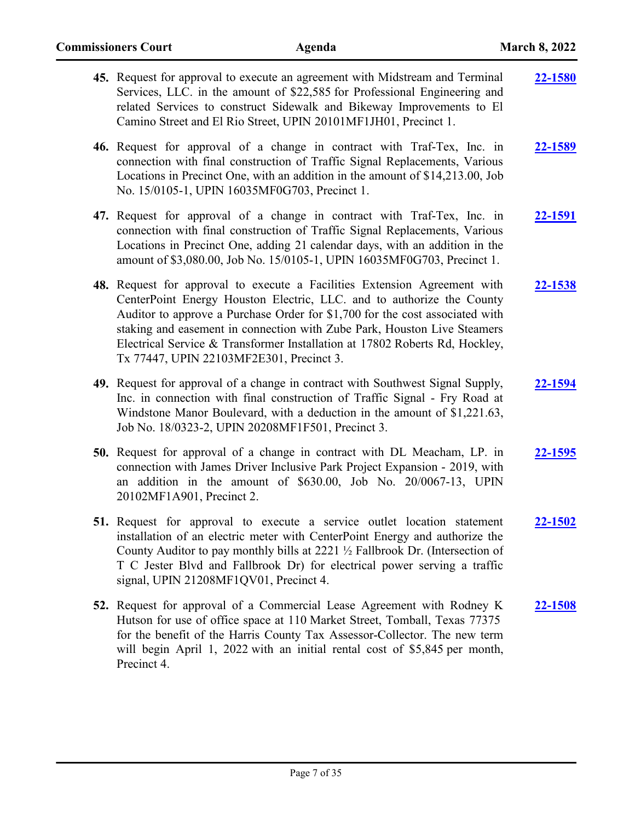| 45. Request for approval to execute an agreement with Midstream and Terminal<br>Services, LLC. in the amount of \$22,585 for Professional Engineering and<br>related Services to construct Sidewalk and Bikeway Improvements to El<br>Camino Street and El Rio Street, UPIN 20101MF1JH01, Precinct 1.                                                                                                                                     | <b>22-1580</b> |
|-------------------------------------------------------------------------------------------------------------------------------------------------------------------------------------------------------------------------------------------------------------------------------------------------------------------------------------------------------------------------------------------------------------------------------------------|----------------|
| 46. Request for approval of a change in contract with Traf-Tex, Inc. in<br>connection with final construction of Traffic Signal Replacements, Various<br>Locations in Precinct One, with an addition in the amount of \$14,213.00, Job<br>No. 15/0105-1, UPIN 16035MF0G703, Precinct 1.                                                                                                                                                   | 22-1589        |
| 47. Request for approval of a change in contract with Traf-Tex, Inc. in<br>connection with final construction of Traffic Signal Replacements, Various<br>Locations in Precinct One, adding 21 calendar days, with an addition in the<br>amount of \$3,080.00, Job No. 15/0105-1, UPIN 16035MF0G703, Precinct 1.                                                                                                                           | <u>22-1591</u> |
| 48. Request for approval to execute a Facilities Extension Agreement with<br>CenterPoint Energy Houston Electric, LLC. and to authorize the County<br>Auditor to approve a Purchase Order for \$1,700 for the cost associated with<br>staking and easement in connection with Zube Park, Houston Live Steamers<br>Electrical Service & Transformer Installation at 17802 Roberts Rd, Hockley,<br>Tx 77447, UPIN 22103MF2E301, Precinct 3. | 22-1538        |
| 49. Request for approval of a change in contract with Southwest Signal Supply,<br>Inc. in connection with final construction of Traffic Signal - Fry Road at<br>Windstone Manor Boulevard, with a deduction in the amount of \$1,221.63,<br>Job No. 18/0323-2, UPIN 20208MF1F501, Precinct 3.                                                                                                                                             | 22-1594        |
| 50. Request for approval of a change in contract with DL Meacham, LP. in<br>connection with James Driver Inclusive Park Project Expansion - 2019, with<br>an addition in the amount of \$630.00, Job No. 20/0067-13, UPIN<br>20102MF1A901, Precinct 2.                                                                                                                                                                                    | 22-1595        |
| 51. Request for approval to execute a service outlet location statement<br>installation of an electric meter with CenterPoint Energy and authorize the<br>County Auditor to pay monthly bills at 2221 1/2 Fallbrook Dr. (Intersection of<br>T C Jester Blvd and Fallbrook Dr) for electrical power serving a traffic<br>signal, UPIN 21208MF1QV01, Precinct 4.                                                                            | 22-1502        |
| 52. Request for approval of a Commercial Lease Agreement with Rodney K<br>Hutson for use of office space at 110 Market Street, Tomball, Texas 77375<br>for the benefit of the Harris County Tax Assessor-Collector. The new term<br>will begin April 1, 2022 with an initial rental cost of \$5,845 per month,<br>Precinct 4.                                                                                                             | <b>22-1508</b> |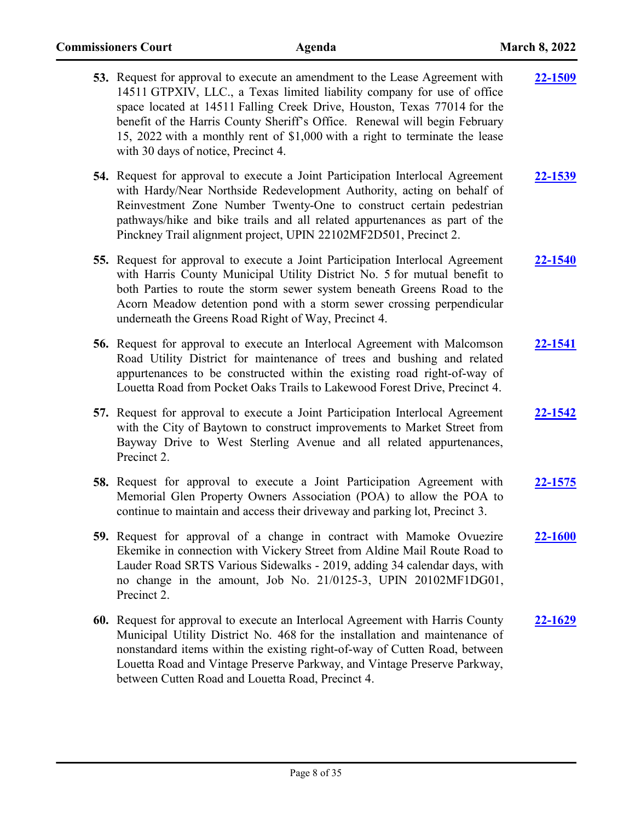| 53. Request for approval to execute an amendment to the Lease Agreement with<br>14511 GTPXIV, LLC., a Texas limited liability company for use of office<br>space located at 14511 Falling Creek Drive, Houston, Texas 77014 for the<br>benefit of the Harris County Sheriff's Office. Renewal will begin February<br>15, 2022 with a monthly rent of \$1,000 with a right to terminate the lease<br>with 30 days of notice, Precinct 4. | 22-1509        |
|-----------------------------------------------------------------------------------------------------------------------------------------------------------------------------------------------------------------------------------------------------------------------------------------------------------------------------------------------------------------------------------------------------------------------------------------|----------------|
| 54. Request for approval to execute a Joint Participation Interlocal Agreement<br>with Hardy/Near Northside Redevelopment Authority, acting on behalf of<br>Reinvestment Zone Number Twenty-One to construct certain pedestrian<br>pathways/hike and bike trails and all related appurtenances as part of the<br>Pinckney Trail alignment project, UPIN 22102MF2D501, Precinct 2.                                                       | 22-1539        |
| 55. Request for approval to execute a Joint Participation Interlocal Agreement<br>with Harris County Municipal Utility District No. 5 for mutual benefit to<br>both Parties to route the storm sewer system beneath Greens Road to the<br>Acorn Meadow detention pond with a storm sewer crossing perpendicular<br>underneath the Greens Road Right of Way, Precinct 4.                                                                 | <b>22-1540</b> |
| 56. Request for approval to execute an Interlocal Agreement with Malcomson<br>Road Utility District for maintenance of trees and bushing and related<br>appurtenances to be constructed within the existing road right-of-way of<br>Louetta Road from Pocket Oaks Trails to Lakewood Forest Drive, Precinct 4.                                                                                                                          | 22-1541        |
| 57. Request for approval to execute a Joint Participation Interlocal Agreement<br>with the City of Baytown to construct improvements to Market Street from<br>Bayway Drive to West Sterling Avenue and all related appurtenances,<br>Precinct 2.                                                                                                                                                                                        | 22-1542        |
| <b>58.</b> Request for approval to execute a Joint Participation Agreement with<br>Memorial Glen Property Owners Association (POA) to allow the POA to<br>continue to maintain and access their driveway and parking lot, Precinct 3.                                                                                                                                                                                                   | 22-1575        |
| 59. Request for approval of a change in contract with Mamoke Ovuezire<br>Ekemike in connection with Vickery Street from Aldine Mail Route Road to<br>Lauder Road SRTS Various Sidewalks - 2019, adding 34 calendar days, with<br>no change in the amount, Job No. 21/0125-3, UPIN 20102MF1DG01,<br>Precinct 2.                                                                                                                          | 22-1600        |
| 60. Request for approval to execute an Interlocal Agreement with Harris County<br>Municipal Utility District No. 468 for the installation and maintenance of<br>nonstandard items within the existing right-of-way of Cutten Road, between<br>Louetta Road and Vintage Preserve Parkway, and Vintage Preserve Parkway,                                                                                                                  | $22 - 1629$    |

between Cutten Road and Louetta Road, Precinct 4.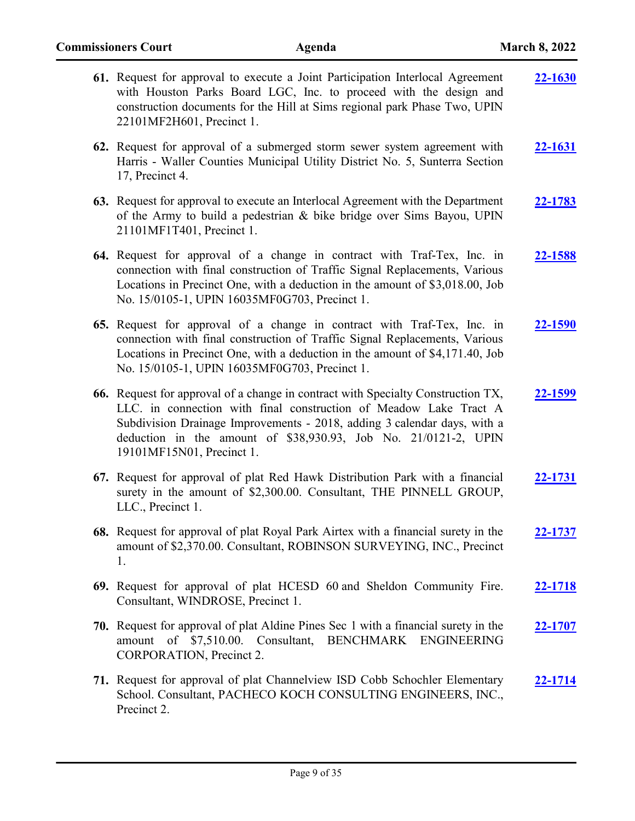| 61. Request for approval to execute a Joint Participation Interlocal Agreement<br>with Houston Parks Board LGC, Inc. to proceed with the design and<br>construction documents for the Hill at Sims regional park Phase Two, UPIN<br>22101MF2H601, Precinct 1.                                                                     | 22-1630        |
|-----------------------------------------------------------------------------------------------------------------------------------------------------------------------------------------------------------------------------------------------------------------------------------------------------------------------------------|----------------|
| 62. Request for approval of a submerged storm sewer system agreement with<br>Harris - Waller Counties Municipal Utility District No. 5, Sunterra Section<br>17, Precinct 4.                                                                                                                                                       | <u>22-1631</u> |
| 63. Request for approval to execute an Interlocal Agreement with the Department<br>of the Army to build a pedestrian & bike bridge over Sims Bayou, UPIN<br>21101MF1T401, Precinct 1.                                                                                                                                             | <u>22-1783</u> |
| 64. Request for approval of a change in contract with Traf-Tex, Inc. in<br>connection with final construction of Traffic Signal Replacements, Various<br>Locations in Precinct One, with a deduction in the amount of \$3,018.00, Job<br>No. 15/0105-1, UPIN 16035MF0G703, Precinct 1.                                            | 22-1588        |
| 65. Request for approval of a change in contract with Traf-Tex, Inc. in<br>connection with final construction of Traffic Signal Replacements, Various<br>Locations in Precinct One, with a deduction in the amount of \$4,171.40, Job<br>No. 15/0105-1, UPIN 16035MF0G703, Precinct 1.                                            | 22-1590        |
| 66. Request for approval of a change in contract with Specialty Construction TX,<br>LLC. in connection with final construction of Meadow Lake Tract A<br>Subdivision Drainage Improvements - 2018, adding 3 calendar days, with a<br>deduction in the amount of \$38,930.93, Job No. 21/0121-2, UPIN<br>19101MF15N01, Precinct 1. | 22-1599        |
| 67. Request for approval of plat Red Hawk Distribution Park with a financial<br>surety in the amount of \$2,300.00. Consultant, THE PINNELL GROUP,<br>LLC., Precinct 1.                                                                                                                                                           | <u>22-1731</u> |
| 68. Request for approval of plat Royal Park Airtex with a financial surety in the<br>amount of \$2,370.00. Consultant, ROBINSON SURVEYING, INC., Precinct<br>1.                                                                                                                                                                   | 22-1737        |
| 69. Request for approval of plat HCESD 60 and Sheldon Community Fire.<br>Consultant, WINDROSE, Precinct 1.                                                                                                                                                                                                                        | <u>22-1718</u> |
| 70. Request for approval of plat Aldine Pines Sec 1 with a financial surety in the<br>of \$7,510.00. Consultant, BENCHMARK ENGINEERING<br>amount<br>CORPORATION, Precinct 2.                                                                                                                                                      | 22-1707        |
| 71. Request for approval of plat Channelview ISD Cobb Schochler Elementary<br>School. Consultant, PACHECO KOCH CONSULTING ENGINEERS, INC.,<br>Precinct 2.                                                                                                                                                                         | $22 - 1714$    |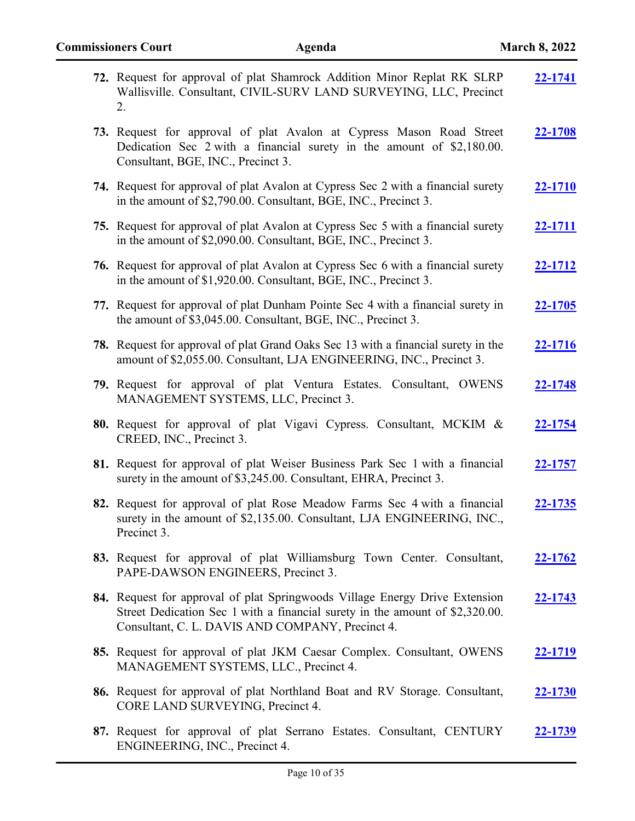| 72. Request for approval of plat Shamrock Addition Minor Replat RK SLRP<br>Wallisville. Consultant, CIVIL-SURV LAND SURVEYING, LLC, Precinct<br>2.                                                              | 22-1741        |
|-----------------------------------------------------------------------------------------------------------------------------------------------------------------------------------------------------------------|----------------|
| 73. Request for approval of plat Avalon at Cypress Mason Road Street<br>Dedication Sec 2 with a financial surety in the amount of \$2,180.00.<br>Consultant, BGE, INC., Precinct 3.                             | 22-1708        |
| 74. Request for approval of plat Avalon at Cypress Sec 2 with a financial surety<br>in the amount of \$2,790.00. Consultant, BGE, INC., Precinct 3.                                                             | <u>22-1710</u> |
| 75. Request for approval of plat Avalon at Cypress Sec 5 with a financial surety<br>in the amount of \$2,090.00. Consultant, BGE, INC., Precinct 3.                                                             | 22-1711        |
| <b>76.</b> Request for approval of plat Avalon at Cypress Sec 6 with a financial surety<br>in the amount of \$1,920.00. Consultant, BGE, INC., Precinct 3.                                                      | 22-1712        |
| 77. Request for approval of plat Dunham Pointe Sec 4 with a financial surety in<br>the amount of \$3,045.00. Consultant, BGE, INC., Precinct 3.                                                                 | <u>22-1705</u> |
| <b>78.</b> Request for approval of plat Grand Oaks Sec 13 with a financial surety in the<br>amount of \$2,055.00. Consultant, LJA ENGINEERING, INC., Precinct 3.                                                | <u>22-1716</u> |
| 79. Request for approval of plat Ventura Estates. Consultant, OWENS<br>MANAGEMENT SYSTEMS, LLC, Precinct 3.                                                                                                     | <u>22-1748</u> |
| <b>80.</b> Request for approval of plat Vigavi Cypress. Consultant, MCKIM &<br>CREED, INC., Precinct 3.                                                                                                         | <u>22-1754</u> |
| 81. Request for approval of plat Weiser Business Park Sec 1 with a financial<br>surety in the amount of \$3,245.00. Consultant, EHRA, Precinct 3.                                                               | <u>22-1757</u> |
| 82. Request for approval of plat Rose Meadow Farms Sec 4 with a financial<br>surety in the amount of \$2,135.00. Consultant, LJA ENGINEERING, INC.,<br>Precinct 3.                                              | <u>22-1735</u> |
| 83. Request for approval of plat Williamsburg Town Center. Consultant,<br>PAPE-DAWSON ENGINEERS, Precinct 3.                                                                                                    | 22-1762        |
| 84. Request for approval of plat Springwoods Village Energy Drive Extension<br>Street Dedication Sec 1 with a financial surety in the amount of \$2,320.00.<br>Consultant, C. L. DAVIS AND COMPANY, Precinct 4. | 22-1743        |
| 85. Request for approval of plat JKM Caesar Complex. Consultant, OWENS<br>MANAGEMENT SYSTEMS, LLC., Precinct 4.                                                                                                 | <u>22-1719</u> |
| 86. Request for approval of plat Northland Boat and RV Storage. Consultant,<br>CORE LAND SURVEYING, Precinct 4.                                                                                                 | <u>22-1730</u> |
| 87. Request for approval of plat Serrano Estates. Consultant, CENTURY<br>ENGINEERING, INC., Precinct 4.                                                                                                         | 22-1739        |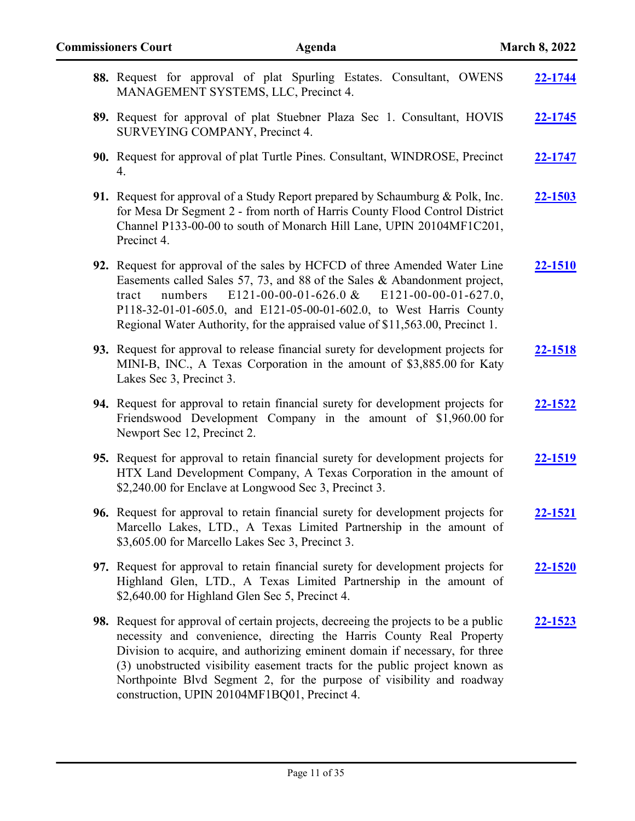| 88. Request for approval of plat Spurling Estates. Consultant, OWENS<br>MANAGEMENT SYSTEMS, LLC, Precinct 4.                                                                                                                                                                                                                                                                                                                                       | 22-1744        |
|----------------------------------------------------------------------------------------------------------------------------------------------------------------------------------------------------------------------------------------------------------------------------------------------------------------------------------------------------------------------------------------------------------------------------------------------------|----------------|
| 89. Request for approval of plat Stuebner Plaza Sec 1. Consultant, HOVIS<br>SURVEYING COMPANY, Precinct 4.                                                                                                                                                                                                                                                                                                                                         | 22-1745        |
| 90. Request for approval of plat Turtle Pines. Consultant, WINDROSE, Precinct<br>4.                                                                                                                                                                                                                                                                                                                                                                | 22-1747        |
| 91. Request for approval of a Study Report prepared by Schaumburg & Polk, Inc.<br>for Mesa Dr Segment 2 - from north of Harris County Flood Control District<br>Channel P133-00-00 to south of Monarch Hill Lane, UPIN 20104MF1C201,<br>Precinct 4.                                                                                                                                                                                                | 22-1503        |
| 92. Request for approval of the sales by HCFCD of three Amended Water Line<br>Easements called Sales 57, 73, and 88 of the Sales & Abandonment project,<br>E121-00-00-01-626.0 & E121-00-00-01-627.0,<br>numbers<br>tract<br>P118-32-01-01-605.0, and E121-05-00-01-602.0, to West Harris County<br>Regional Water Authority, for the appraised value of \$11,563.00, Precinct 1.                                                                  | $22 - 1510$    |
| 93. Request for approval to release financial surety for development projects for<br>MINI-B, INC., A Texas Corporation in the amount of \$3,885.00 for Katy<br>Lakes Sec 3, Precinct 3.                                                                                                                                                                                                                                                            | 22-1518        |
| 94. Request for approval to retain financial surety for development projects for<br>Friendswood Development Company in the amount of \$1,960.00 for<br>Newport Sec 12, Precinct 2.                                                                                                                                                                                                                                                                 | <u>22-1522</u> |
| 95. Request for approval to retain financial surety for development projects for<br>HTX Land Development Company, A Texas Corporation in the amount of<br>\$2,240.00 for Enclave at Longwood Sec 3, Precinct 3.                                                                                                                                                                                                                                    | 22-1519        |
| 96. Request for approval to retain financial surety for development projects for<br>Marcello Lakes, LTD., A Texas Limited Partnership in the amount of<br>\$3,605.00 for Marcello Lakes Sec 3, Precinct 3.                                                                                                                                                                                                                                         | 22-1521        |
| 97. Request for approval to retain financial surety for development projects for<br>Highland Glen, LTD., A Texas Limited Partnership in the amount of<br>\$2,640.00 for Highland Glen Sec 5, Precinct 4.                                                                                                                                                                                                                                           | 22-1520        |
| 98. Request for approval of certain projects, decreeing the projects to be a public<br>necessity and convenience, directing the Harris County Real Property<br>Division to acquire, and authorizing eminent domain if necessary, for three<br>(3) unobstructed visibility easement tracts for the public project known as<br>Northpointe Blvd Segment 2, for the purpose of visibility and roadway<br>construction, UPIN 20104MF1BQ01, Precinct 4. | <u>22-1523</u> |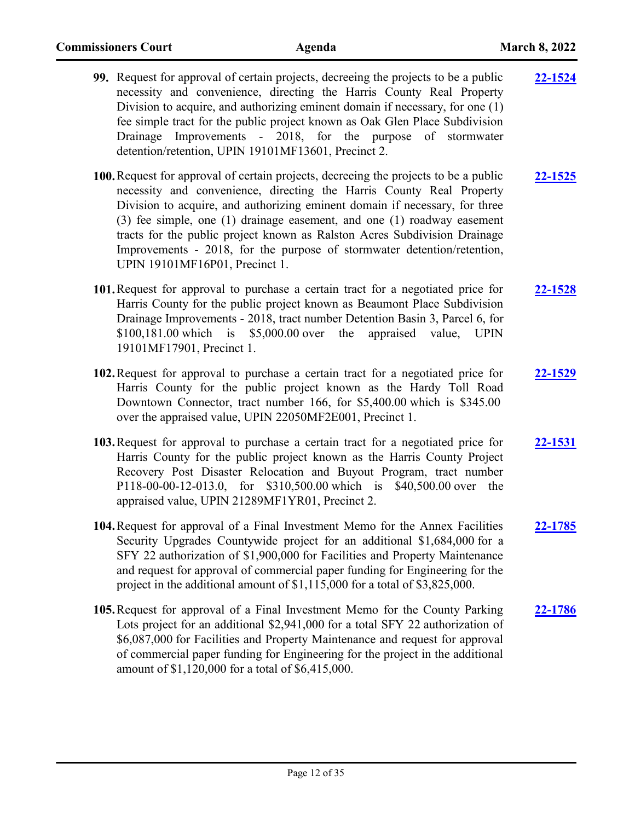| 99. Request for approval of certain projects, decreeing the projects to be a public<br>necessity and convenience, directing the Harris County Real Property<br>Division to acquire, and authorizing eminent domain if necessary, for one (1)<br>fee simple tract for the public project known as Oak Glen Place Subdivision<br>Drainage Improvements - 2018, for the purpose of stormwater<br>detention/retention, UPIN 19101MF13601, Precinct 2.                                                                | 22-1524        |
|------------------------------------------------------------------------------------------------------------------------------------------------------------------------------------------------------------------------------------------------------------------------------------------------------------------------------------------------------------------------------------------------------------------------------------------------------------------------------------------------------------------|----------------|
| 100. Request for approval of certain projects, decreeing the projects to be a public<br>necessity and convenience, directing the Harris County Real Property<br>Division to acquire, and authorizing eminent domain if necessary, for three<br>(3) fee simple, one (1) drainage easement, and one (1) roadway easement<br>tracts for the public project known as Ralston Acres Subdivision Drainage<br>Improvements - 2018, for the purpose of stormwater detention/retention,<br>UPIN 19101MF16P01, Precinct 1. | <u>22-1525</u> |
| 101. Request for approval to purchase a certain tract for a negotiated price for<br>Harris County for the public project known as Beaumont Place Subdivision<br>Drainage Improvements - 2018, tract number Detention Basin 3, Parcel 6, for<br>\$100,181.00 which is \$5,000.00 over the appraised value, UPIN<br>19101MF17901, Precinct 1.                                                                                                                                                                      | 22-1528        |
| 102. Request for approval to purchase a certain tract for a negotiated price for<br>Harris County for the public project known as the Hardy Toll Road<br>Downtown Connector, tract number 166, for \$5,400.00 which is \$345.00<br>over the appraised value, UPIN 22050MF2E001, Precinct 1.                                                                                                                                                                                                                      | 22-1529        |
| 103. Request for approval to purchase a certain tract for a negotiated price for<br>Harris County for the public project known as the Harris County Project<br>Recovery Post Disaster Relocation and Buyout Program, tract number<br>P118-00-00-12-013.0, for \$310,500.00 which is \$40,500.00 over the<br>appraised value, UPIN 21289MF1YR01, Precinct 2.                                                                                                                                                      | 22-1531        |
| 104. Request for approval of a Final Investment Memo for the Annex Facilities<br>Security Upgrades Countywide project for an additional \$1,684,000 for a<br>SFY 22 authorization of \$1,900,000 for Facilities and Property Maintenance<br>and request for approval of commercial paper funding for Engineering for the<br>project in the additional amount of \$1,115,000 for a total of \$3,825,000.                                                                                                          | 22-1785        |
| 105. Request for approval of a Final Investment Memo for the County Parking<br>Lots project for an additional \$2,941,000 for a total SFY 22 authorization of<br>\$6,087,000 for Facilities and Property Maintenance and request for approval<br>of commercial paper funding for Engineering for the project in the additional<br>amount of \$1,120,000 for a total of \$6,415,000.                                                                                                                              | 22-1786        |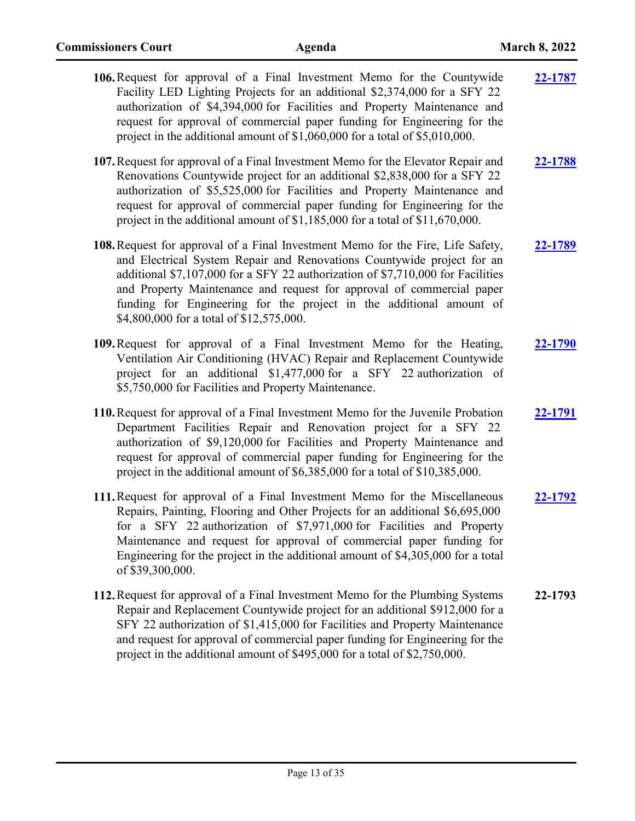| 106. Request for approval of a Final Investment Memo for the Countywide<br>Facility LED Lighting Projects for an additional \$2,374,000 for a SFY 22<br>authorization of \$4,394,000 for Facilities and Property Maintenance and<br>request for approval of commercial paper funding for Engineering for the<br>project in the additional amount of $$1,060,000$ for a total of $$5,010,000$ .                                           | 22-1787 |
|------------------------------------------------------------------------------------------------------------------------------------------------------------------------------------------------------------------------------------------------------------------------------------------------------------------------------------------------------------------------------------------------------------------------------------------|---------|
| 107. Request for approval of a Final Investment Memo for the Elevator Repair and<br>Renovations Countywide project for an additional \$2,838,000 for a SFY 22<br>authorization of \$5,525,000 for Facilities and Property Maintenance and<br>request for approval of commercial paper funding for Engineering for the<br>project in the additional amount of $$1,185,000$ for a total of $$11,670,000$ .                                 | 22-1788 |
| 108. Request for approval of a Final Investment Memo for the Fire, Life Safety,<br>and Electrical System Repair and Renovations Countywide project for an<br>additional \$7,107,000 for a SFY 22 authorization of \$7,710,000 for Facilities<br>and Property Maintenance and request for approval of commercial paper<br>funding for Engineering for the project in the additional amount of<br>\$4,800,000 for a total of \$12,575,000. | 22-1789 |
| 109. Request for approval of a Final Investment Memo for the Heating,<br>Ventilation Air Conditioning (HVAC) Repair and Replacement Countywide<br>project for an additional \$1,477,000 for a SFY 22 authorization of<br>\$5,750,000 for Facilities and Property Maintenance.                                                                                                                                                            | 22-1790 |
| 110. Request for approval of a Final Investment Memo for the Juvenile Probation<br>Department Facilities Repair and Renovation project for a SFY 22<br>authorization of \$9,120,000 for Facilities and Property Maintenance and<br>request for approval of commercial paper funding for Engineering for the<br>project in the additional amount of \$6,385,000 for a total of \$10,385,000.                                              | 22-1791 |
| 111. Request for approval of a Final Investment Memo for the Miscellaneous<br>Repairs, Painting, Flooring and Other Projects for an additional \$6,695,000<br>for a SFY 22 authorization of \$7,971,000 for Facilities and Property<br>Maintenance and request for approval of commercial paper funding for<br>Engineering for the project in the additional amount of \$4,305,000 for a total<br>of \$39,300,000.                       | 22-1792 |
| 112. Request for approval of a Final Investment Memo for the Plumbing Systems<br>Repair and Replacement Countywide project for an additional \$912,000 for a<br>SFY 22 authorization of \$1,415,000 for Facilities and Property Maintenance<br>and request for approval of commercial paper funding for Engineering for the<br>project in the additional amount of \$495,000 for a total of \$2,750,000.                                 | 22-1793 |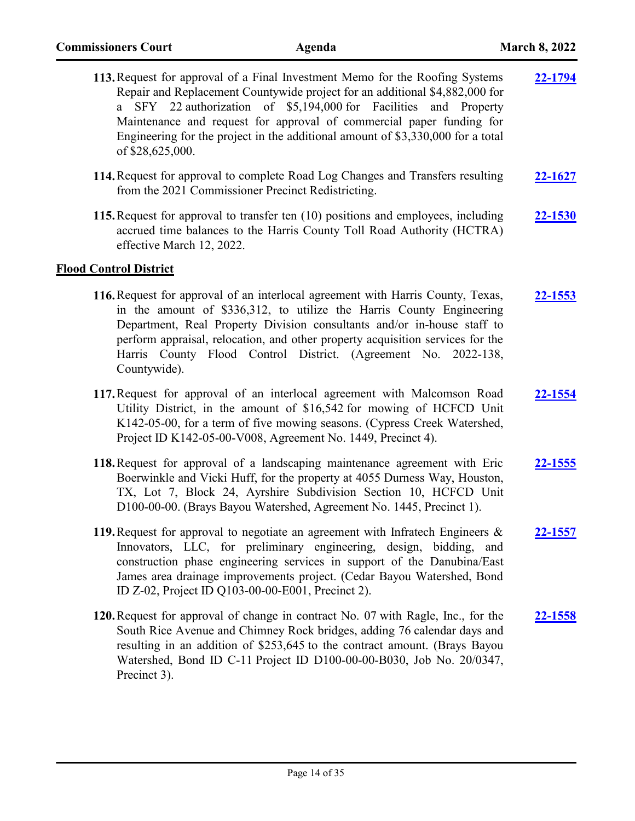| 113. Request for approval of a Final Investment Memo for the Roofing Systems<br>Repair and Replacement Countywide project for an additional \$4,882,000 for<br>SFY 22 authorization of \$5,194,000 for Facilities and Property<br>Maintenance and request for approval of commercial paper funding for<br>Engineering for the project in the additional amount of \$3,330,000 for a total<br>of \$28,625,000. | 22-1794        |
|---------------------------------------------------------------------------------------------------------------------------------------------------------------------------------------------------------------------------------------------------------------------------------------------------------------------------------------------------------------------------------------------------------------|----------------|
| 114. Request for approval to complete Road Log Changes and Transfers resulting<br>from the 2021 Commissioner Precinct Redistricting.                                                                                                                                                                                                                                                                          | 22-1627        |
| 115. Request for approval to transfer ten (10) positions and employees, including<br>accrued time balances to the Harris County Toll Road Authority (HCTRA)<br>effective March 12, 2022.                                                                                                                                                                                                                      | 22-1530        |
| <b>Flood Control District</b>                                                                                                                                                                                                                                                                                                                                                                                 |                |
| 116. Request for approval of an interlocal agreement with Harris County, Texas,<br>in the amount of \$336,312, to utilize the Harris County Engineering<br>Department, Real Property Division consultants and/or in-house staff to<br>perform appraisal, relocation, and other property acquisition services for the<br>Harris County Flood Control District. (Agreement No. 2022-138,<br>Countywide).        | <u>22-1553</u> |
| 117. Request for approval of an interlocal agreement with Malcomson Road<br>Utility District, in the amount of \$16,542 for mowing of HCFCD Unit<br>K142-05-00, for a term of five mowing seasons. (Cypress Creek Watershed,<br>Project ID K142-05-00-V008, Agreement No. 1449, Precinct 4).                                                                                                                  | 22-1554        |
| 118. Request for approval of a landscaping maintenance agreement with Eric<br>Boerwinkle and Vicki Huff, for the property at 4055 Durness Way, Houston,<br>TX, Lot 7, Block 24, Ayrshire Subdivision Section 10, HCFCD Unit<br>D100-00-00. (Brays Bayou Watershed, Agreement No. 1445, Precinct 1).                                                                                                           | <u>22-1555</u> |
| 119. Request for approval to negotiate an agreement with Infratech Engineers &<br>Innovators, LLC, for preliminary engineering, design, bidding, and<br>construction phase engineering services in support of the Danubina/East<br>James area drainage improvements project. (Cedar Bayou Watershed, Bond<br>ID Z-02, Project ID Q103-00-00-E001, Precinct 2).                                                | 22-1557        |
| 120. Request for approval of change in contract No. 07 with Ragle, Inc., for the<br>South Rice Avenue and Chimney Rock bridges, adding 76 calendar days and<br>resulting in an addition of \$253,645 to the contract amount. (Brays Bayou<br>Watershed, Bond ID C-11 Project ID D100-00-00-B030, Job No. 20/0347,<br>Precinct 3).                                                                             | <u>22-1558</u> |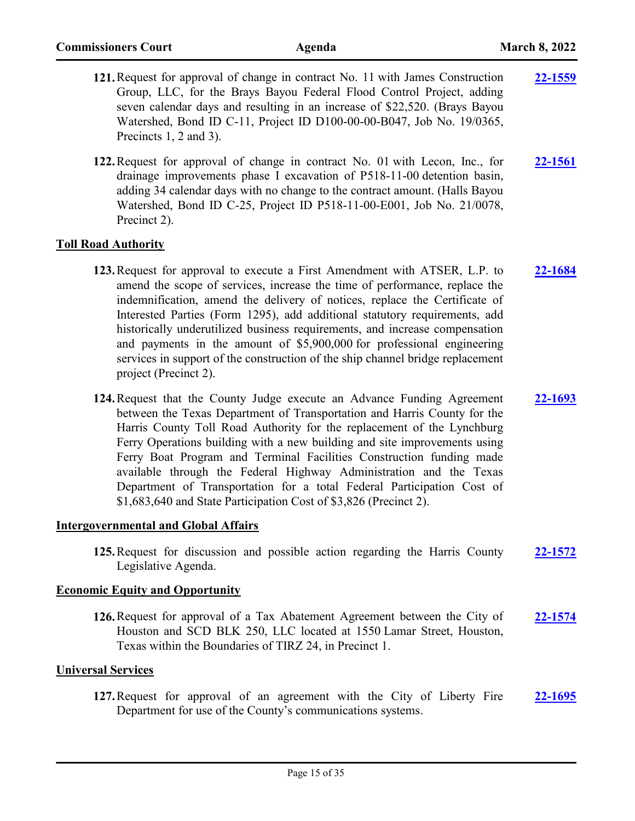- **121.**Request for approval of change in contract No. 11 with James Construction Group, LLC, for the Brays Bayou Federal Flood Control Project, adding seven calendar days and resulting in an increase of \$22,520. (Brays Bayou Watershed, Bond ID C-11, Project ID D100-00-00-B047, Job No. 19/0365, Precincts 1, 2 and 3). **[22-1559](http://harriscountytx.legistar.com/gateway.aspx?m=l&id=/matter.aspx?key=12103)**
- **122.**Request for approval of change in contract No. 01 with Lecon, Inc., for drainage improvements phase I excavation of P518-11-00 detention basin, adding 34 calendar days with no change to the contract amount. (Halls Bayou Watershed, Bond ID C-25, Project ID P518-11-00-E001, Job No. 21/0078, Precinct 2). **[22-1561](http://harriscountytx.legistar.com/gateway.aspx?m=l&id=/matter.aspx?key=12105)**

#### **Toll Road Authority**

- **123.**Request for approval to execute a First Amendment with ATSER, L.P. to amend the scope of services, increase the time of performance, replace the indemnification, amend the delivery of notices, replace the Certificate of Interested Parties (Form 1295), add additional statutory requirements, add historically underutilized business requirements, and increase compensation and payments in the amount of \$5,900,000 for professional engineering services in support of the construction of the ship channel bridge replacement project (Precinct 2). **[22-1684](http://harriscountytx.legistar.com/gateway.aspx?m=l&id=/matter.aspx?key=12228)**
- **124.**Request that the County Judge execute an Advance Funding Agreement between the Texas Department of Transportation and Harris County for the Harris County Toll Road Authority for the replacement of the Lynchburg Ferry Operations building with a new building and site improvements using Ferry Boat Program and Terminal Facilities Construction funding made available through the Federal Highway Administration and the Texas Department of Transportation for a total Federal Participation Cost of \$1,683,640 and State Participation Cost of \$3,826 (Precinct 2). **[22-1693](http://harriscountytx.legistar.com/gateway.aspx?m=l&id=/matter.aspx?key=12237)**

#### **Intergovernmental and Global Affairs**

**125.**Request for discussion and possible action regarding the Harris County Legislative Agenda. **[22-1572](http://harriscountytx.legistar.com/gateway.aspx?m=l&id=/matter.aspx?key=12116)**

#### **Economic Equity and Opportunity**

**126.**Request for approval of a Tax Abatement Agreement between the City of Houston and SCD BLK 250, LLC located at 1550 Lamar Street, Houston, Texas within the Boundaries of TIRZ 24, in Precinct 1. **[22-1574](http://harriscountytx.legistar.com/gateway.aspx?m=l&id=/matter.aspx?key=12118)**

#### **Universal Services**

**127.**Request for approval of an agreement with the City of Liberty Fire Department for use of the County's communications systems. **[22-1695](http://harriscountytx.legistar.com/gateway.aspx?m=l&id=/matter.aspx?key=12239)**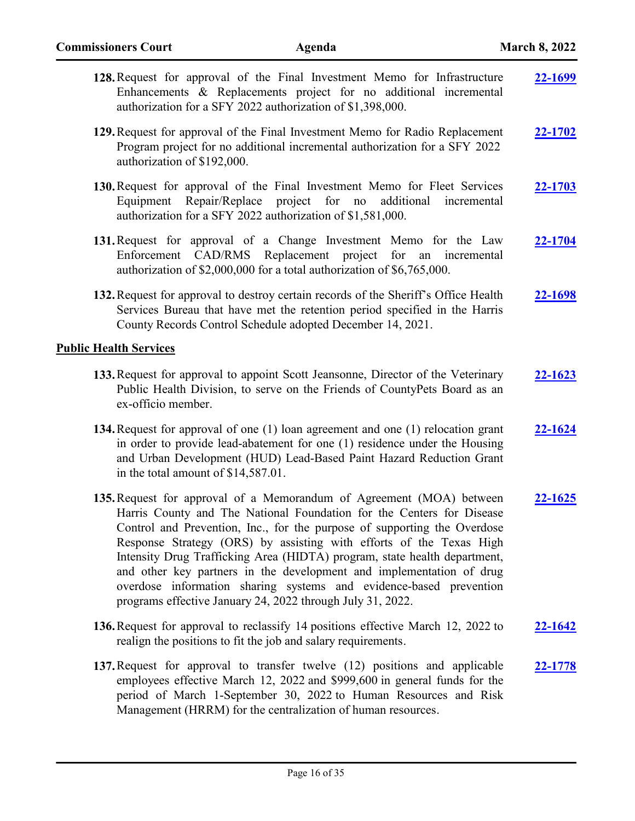| 128. Request for approval of the Final Investment Memo for Infrastructure<br>Enhancements & Replacements project for no additional incremental<br>authorization for a SFY 2022 authorization of \$1,398,000.                                                                                                                                                                                                                                                                                                                                                                              | 22-1699        |
|-------------------------------------------------------------------------------------------------------------------------------------------------------------------------------------------------------------------------------------------------------------------------------------------------------------------------------------------------------------------------------------------------------------------------------------------------------------------------------------------------------------------------------------------------------------------------------------------|----------------|
| 129. Request for approval of the Final Investment Memo for Radio Replacement<br>Program project for no additional incremental authorization for a SFY 2022<br>authorization of \$192,000.                                                                                                                                                                                                                                                                                                                                                                                                 | 22-1702        |
| 130. Request for approval of the Final Investment Memo for Fleet Services<br>Equipment Repair/Replace project for no<br>additional<br>incremental<br>authorization for a SFY 2022 authorization of \$1,581,000.                                                                                                                                                                                                                                                                                                                                                                           | 22-1703        |
| 131. Request for approval of a Change Investment Memo for the Law<br>CAD/RMS Replacement project for an incremental<br>Enforcement<br>authorization of \$2,000,000 for a total authorization of \$6,765,000.                                                                                                                                                                                                                                                                                                                                                                              | 22-1704        |
| 132. Request for approval to destroy certain records of the Sheriff's Office Health<br>Services Bureau that have met the retention period specified in the Harris<br>County Records Control Schedule adopted December 14, 2021.                                                                                                                                                                                                                                                                                                                                                           | 22-1698        |
| <b>Public Health Services</b>                                                                                                                                                                                                                                                                                                                                                                                                                                                                                                                                                             |                |
| 133. Request for approval to appoint Scott Jeansonne, Director of the Veterinary<br>Public Health Division, to serve on the Friends of CountyPets Board as an<br>ex-officio member.                                                                                                                                                                                                                                                                                                                                                                                                       | $22 - 1623$    |
| 134. Request for approval of one (1) loan agreement and one (1) relocation grant<br>in order to provide lead-abatement for one (1) residence under the Housing<br>and Urban Development (HUD) Lead-Based Paint Hazard Reduction Grant<br>in the total amount of \$14,587.01.                                                                                                                                                                                                                                                                                                              | 22-1624        |
| 135. Request for approval of a Memorandum of Agreement (MOA) between<br>Harris County and The National Foundation for the Centers for Disease<br>Control and Prevention, Inc., for the purpose of supporting the Overdose<br>Response Strategy (ORS) by assisting with efforts of the Texas High<br>Intensity Drug Trafficking Area (HIDTA) program, state health department,<br>and other key partners in the development and implementation of drug<br>overdose information sharing systems and evidence-based prevention<br>programs effective January 24, 2022 through July 31, 2022. | 22-1625        |
| 136. Request for approval to reclassify 14 positions effective March 12, 2022 to<br>realign the positions to fit the job and salary requirements.                                                                                                                                                                                                                                                                                                                                                                                                                                         | <u>22-1642</u> |
| 137. Request for approval to transfer twelve (12) positions and applicable<br>employees effective March 12, 2022 and \$999,600 in general funds for the<br>period of March 1-September 30, 2022 to Human Resources and Risk<br>Management (HRRM) for the centralization of human resources.                                                                                                                                                                                                                                                                                               | 22-1778        |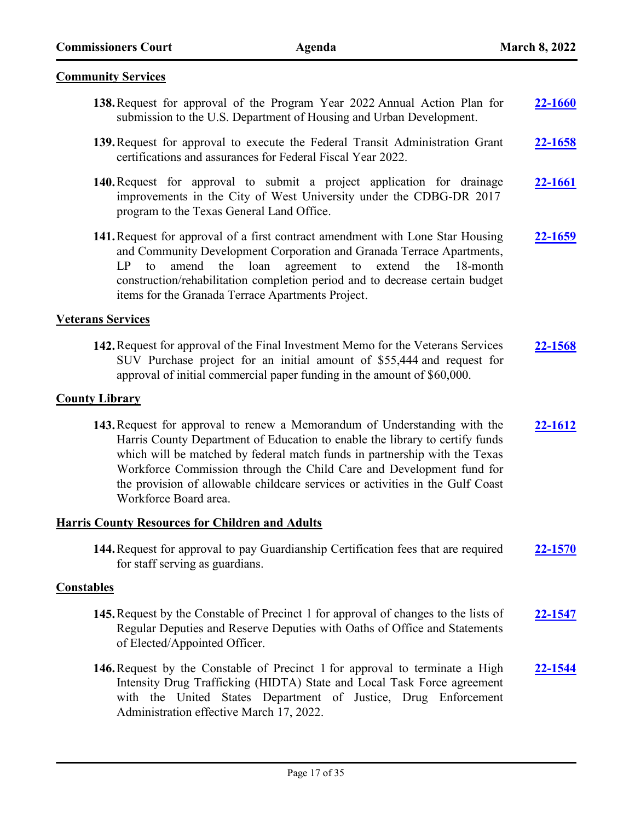#### **Community Services**

- **138.**Request for approval of the Program Year 2022 Annual Action Plan for submission to the U.S. Department of Housing and Urban Development. **[22-1660](http://harriscountytx.legistar.com/gateway.aspx?m=l&id=/matter.aspx?key=12204)**
- **139.**Request for approval to execute the Federal Transit Administration Grant certifications and assurances for Federal Fiscal Year 2022. **[22-1658](http://harriscountytx.legistar.com/gateway.aspx?m=l&id=/matter.aspx?key=12202)**
- **140.**Request for approval to submit a project application for drainage improvements in the City of West University under the CDBG-DR 2017 program to the Texas General Land Office. **[22-1661](http://harriscountytx.legistar.com/gateway.aspx?m=l&id=/matter.aspx?key=12205)**
- **141.**Request for approval of a first contract amendment with Lone Star Housing and Community Development Corporation and Granada Terrace Apartments, LP to amend the loan agreement to extend the 18-month construction/rehabilitation completion period and to decrease certain budget items for the Granada Terrace Apartments Project. **[22-1659](http://harriscountytx.legistar.com/gateway.aspx?m=l&id=/matter.aspx?key=12203)**

#### **Veterans Services**

**142.**Request for approval of the Final Investment Memo for the Veterans Services SUV Purchase project for an initial amount of \$55,444 and request for approval of initial commercial paper funding in the amount of \$60,000. **[22-1568](http://harriscountytx.legistar.com/gateway.aspx?m=l&id=/matter.aspx?key=12112)**

#### **County Library**

**143.**Request for approval to renew a Memorandum of Understanding with the Harris County Department of Education to enable the library to certify funds which will be matched by federal match funds in partnership with the Texas Workforce Commission through the Child Care and Development fund for the provision of allowable childcare services or activities in the Gulf Coast Workforce Board area. **[22-1612](http://harriscountytx.legistar.com/gateway.aspx?m=l&id=/matter.aspx?key=12156)**

#### **Harris County Resources for Children and Adults**

**144.**Request for approval to pay Guardianship Certification fees that are required for staff serving as guardians. **[22-1570](http://harriscountytx.legistar.com/gateway.aspx?m=l&id=/matter.aspx?key=12114)**

#### **Constables**

- **145.**Request by the Constable of Precinct 1 for approval of changes to the lists of Regular Deputies and Reserve Deputies with Oaths of Office and Statements of Elected/Appointed Officer. **[22-1547](http://harriscountytx.legistar.com/gateway.aspx?m=l&id=/matter.aspx?key=12091)**
- **146.**Request by the Constable of Precinct 1 for approval to terminate a High Intensity Drug Trafficking (HIDTA) State and Local Task Force agreement with the United States Department of Justice, Drug Enforcement Administration effective March 17, 2022. **[22-1544](http://harriscountytx.legistar.com/gateway.aspx?m=l&id=/matter.aspx?key=12088)**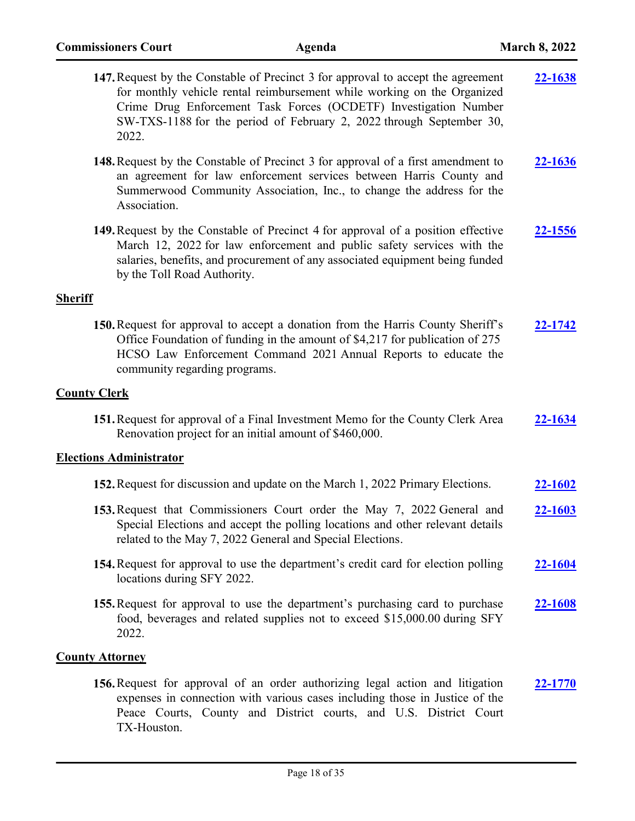| 147. Request by the Constable of Precinct 3 for approval to accept the agreement<br>for monthly vehicle rental reimbursement while working on the Organized<br>Crime Drug Enforcement Task Forces (OCDETF) Investigation Number<br>SW-TXS-1188 for the period of February 2, 2022 through September 30,<br>2022. | 22-1638        |
|------------------------------------------------------------------------------------------------------------------------------------------------------------------------------------------------------------------------------------------------------------------------------------------------------------------|----------------|
| <b>148.</b> Request by the Constable of Precinct 3 for approval of a first amendment to<br>an agreement for law enforcement services between Harris County and<br>Summerwood Community Association, Inc., to change the address for the<br>Association.                                                          | <u>22-1636</u> |
| 149. Request by the Constable of Precinct 4 for approval of a position effective<br>March 12, 2022 for law enforcement and public safety services with the<br>salaries, benefits, and procurement of any associated equipment being funded<br>by the Toll Road Authority.                                        | 22-1556        |
| <b>Sheriff</b>                                                                                                                                                                                                                                                                                                   |                |
| 150. Request for approval to accept a donation from the Harris County Sheriff's<br>Office Foundation of funding in the amount of \$4,217 for publication of 275<br>HCSO Law Enforcement Command 2021 Annual Reports to educate the<br>community regarding programs.                                              | 22-1742        |
| <b>County Clerk</b>                                                                                                                                                                                                                                                                                              |                |
| 151. Request for approval of a Final Investment Memo for the County Clerk Area<br>Renovation project for an initial amount of \$460,000.                                                                                                                                                                         | <b>22-1634</b> |
| <b>Elections Administrator</b>                                                                                                                                                                                                                                                                                   |                |
| 152. Request for discussion and update on the March 1, 2022 Primary Elections.                                                                                                                                                                                                                                   | 22-1602        |
| 153. Request that Commissioners Court order the May 7, 2022 General and<br>Special Elections and accept the polling locations and other relevant details<br>related to the May 7, 2022 General and Special Elections.                                                                                            | <u>22-1603</u> |
| 154. Request for approval to use the department's credit card for election polling<br>locations during SFY 2022.                                                                                                                                                                                                 | <u>22-1604</u> |
| 155. Request for approval to use the department's purchasing card to purchase<br>food, beverages and related supplies not to exceed \$15,000.00 during SFY<br>2022.                                                                                                                                              | <u>22-1608</u> |
| <b>County Attorney</b>                                                                                                                                                                                                                                                                                           |                |
| 156. Request for approval of an order authorizing legal action and litigation<br>expenses in connection with various cases including those in Justice of the<br>Peace Courts, County and District courts, and U.S. District Court                                                                                | 22-1770        |

TX-Houston.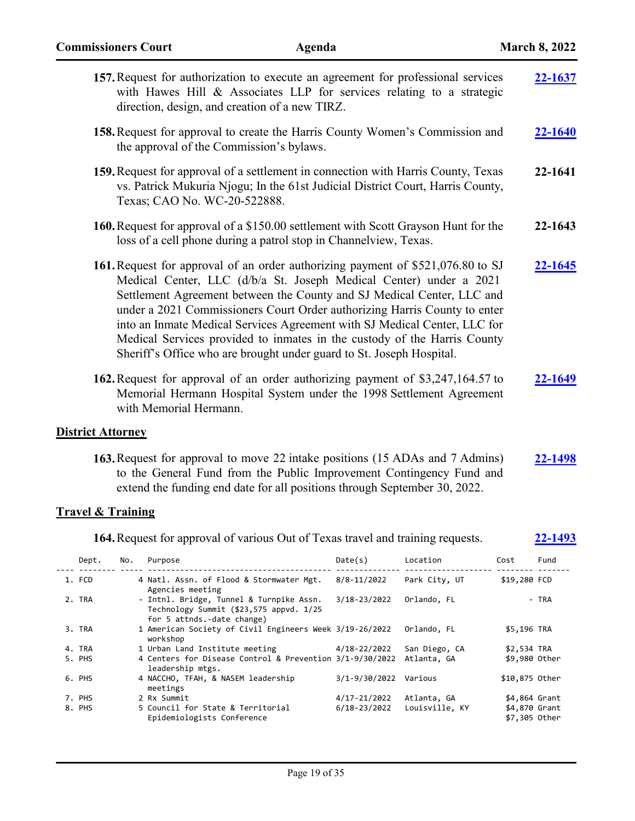|                              |     | 157. Request for authorization to execute an agreement for professional services<br>with Hawes Hill & Associates LLP for services relating to a strategic<br>direction, design, and creation of a new TIRZ.                                                                                                                                                                                                                                                                                                                                   |                 |                              |                              | 22-1637        |
|------------------------------|-----|-----------------------------------------------------------------------------------------------------------------------------------------------------------------------------------------------------------------------------------------------------------------------------------------------------------------------------------------------------------------------------------------------------------------------------------------------------------------------------------------------------------------------------------------------|-----------------|------------------------------|------------------------------|----------------|
|                              |     | 158. Request for approval to create the Harris County Women's Commission and<br>the approval of the Commission's bylaws.                                                                                                                                                                                                                                                                                                                                                                                                                      |                 |                              |                              | 22-1640        |
|                              |     | 159. Request for approval of a settlement in connection with Harris County, Texas<br>vs. Patrick Mukuria Njogu; In the 61st Judicial District Court, Harris County,<br>Texas; CAO No. WC-20-522888.                                                                                                                                                                                                                                                                                                                                           |                 |                              |                              | 22-1641        |
|                              |     | 160. Request for approval of a \$150.00 settlement with Scott Grayson Hunt for the<br>loss of a cell phone during a patrol stop in Channelview, Texas.                                                                                                                                                                                                                                                                                                                                                                                        |                 |                              |                              | 22-1643        |
|                              |     | 161. Request for approval of an order authorizing payment of \$521,076.80 to SJ<br>Medical Center, LLC (d/b/a St. Joseph Medical Center) under a 2021<br>Settlement Agreement between the County and SJ Medical Center, LLC and<br>under a 2021 Commissioners Court Order authorizing Harris County to enter<br>into an Inmate Medical Services Agreement with SJ Medical Center, LLC for<br>Medical Services provided to inmates in the custody of the Harris County<br>Sheriff's Office who are brought under guard to St. Joseph Hospital. |                 |                              |                              | 22-1645        |
|                              |     | 162. Request for approval of an order authorizing payment of \$3,247,164.57 to<br>Memorial Hermann Hospital System under the 1998 Settlement Agreement<br>with Memorial Hermann.                                                                                                                                                                                                                                                                                                                                                              |                 |                              |                              | 22-1649        |
| <b>District Attorney</b>     |     |                                                                                                                                                                                                                                                                                                                                                                                                                                                                                                                                               |                 |                              |                              |                |
| <b>Travel &amp; Training</b> |     | 163. Request for approval to move 22 intake positions (15 ADAs and 7 Admins)<br>to the General Fund from the Public Improvement Contingency Fund and<br>extend the funding end date for all positions through September 30, 2022.                                                                                                                                                                                                                                                                                                             |                 |                              |                              | 22-1498        |
|                              |     | 164. Request for approval of various Out of Texas travel and training requests.                                                                                                                                                                                                                                                                                                                                                                                                                                                               |                 |                              |                              | <u>22-1493</u> |
| Dept.                        | No. | Purpose                                                                                                                                                                                                                                                                                                                                                                                                                                                                                                                                       | Date(s)         | Location                     | Cost                         | Fund           |
| 1. FCD                       |     | 4 Natl. Assn. of Flood & Stormwater Mgt.                                                                                                                                                                                                                                                                                                                                                                                                                                                                                                      | $8/8 - 11/2022$ | Park City, UT                | \$19,280 FCD                 |                |
| 2. TRA                       |     | Agencies meeting<br>- Intnl. Bridge, Tunnel & Turnpike Assn.<br>Technology Summit (\$23,575 appvd. 1/25<br>for 5 attnds.-date change)                                                                                                                                                                                                                                                                                                                                                                                                         | 3/18-23/2022    | Orlando, FL                  |                              | - TRA          |
| 3. TRA                       |     | 1 American Society of Civil Engineers Week 3/19-26/2022<br>workshop                                                                                                                                                                                                                                                                                                                                                                                                                                                                           |                 | Orlando, FL                  | \$5,196 TRA                  |                |
| 4. TRA<br>5. PHS             |     | 1 Urban Land Institute meeting<br>4 Centers for Disease Control & Prevention 3/1-9/30/2022                                                                                                                                                                                                                                                                                                                                                                                                                                                    | 4/18-22/2022    | San Diego, CA<br>Atlanta, GA | \$2,534 TRA<br>\$9,980 Other |                |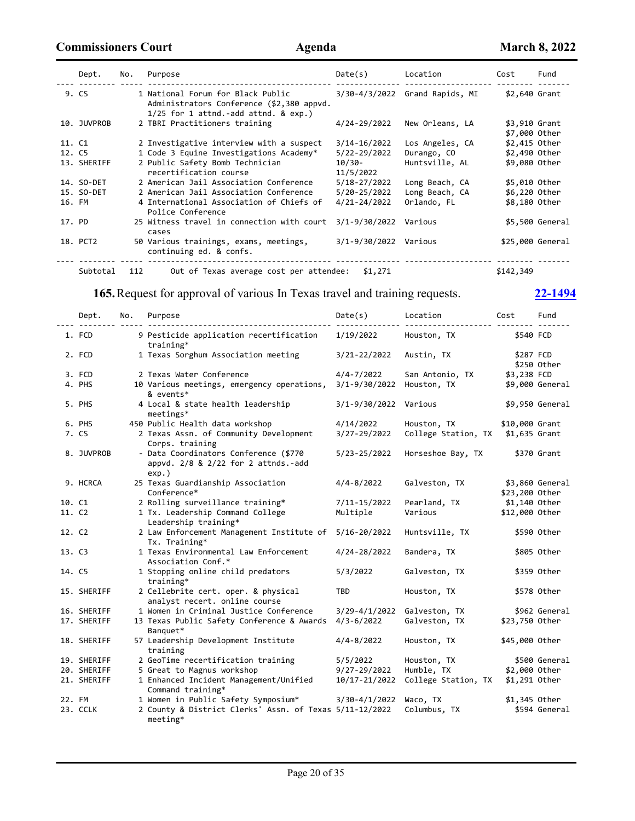|        | Dept.       | No. | Purpose                                                                                                                     | Date(s)               | Location                       | Cost                           | Fund             |
|--------|-------------|-----|-----------------------------------------------------------------------------------------------------------------------------|-----------------------|--------------------------------|--------------------------------|------------------|
|        | 9. CS       |     | 1 National Forum for Black Public<br>Administrators Conference (\$2,380 appvd.<br>$1/25$ for 1 attnd.-add attnd. & $exp.$ ) |                       | 3/30-4/3/2022 Grand Rapids, MI | \$2,640 Grant                  |                  |
|        | 10. JUVPROB |     | 2 TBRI Practitioners training                                                                                               | 4/24-29/2022          | New Orleans, LA                | \$3,910 Grant<br>\$7,000 Other |                  |
| 11. C1 |             |     | 2 Investigative interview with a suspect                                                                                    | 3/14-16/2022          | Los Angeles, CA                | \$2,415 Other                  |                  |
| 12. C5 |             |     | 1 Code 3 Equine Investigations Academy*                                                                                     | 5/22-29/2022          | Durango, CO                    | \$2,490 Other                  |                  |
|        | 13. SHERIFF |     | 2 Public Safety Bomb Technician<br>recertification course                                                                   | 10/30-<br>11/5/2022   | Huntsville, AL                 | \$9,080 Other                  |                  |
|        | 14. SO-DET  |     | 2 American Jail Association Conference                                                                                      | 5/18-27/2022          | Long Beach, CA                 | \$5,010 Other                  |                  |
|        | 15. SO-DET  |     | 2 American Jail Association Conference                                                                                      | 5/20-25/2022          | Long Beach, CA                 | \$6,220 Other                  |                  |
| 16. FM |             |     | 4 International Association of Chiefs of<br>Police Conference                                                               | 4/21-24/2022          | Orlando, FL                    | \$8,180 Other                  |                  |
| 17. PD |             |     | 25 Witness travel in connection with court<br>cases                                                                         | 3/1-9/30/2022         | Various                        |                                | \$5,500 General  |
|        | 18. PCT2    |     | 50 Various trainings, exams, meetings,<br>continuing ed. & confs.                                                           | 3/1-9/30/2022 Various |                                |                                | \$25,000 General |
|        | Subtotal    | 112 | Out of Texas average cost per attendee:                                                                                     | \$1,271               |                                | \$142,349                      |                  |

# **165.**Request for approval of various In Texas travel and training requests. **[22-1494](http://harriscountytx.legistar.com/gateway.aspx?m=l&id=/matter.aspx?key=12038)**

|        | Dept.       | No. | Purpose                                                                                  | Date(s)               | Location            | Cost           | Fund            |
|--------|-------------|-----|------------------------------------------------------------------------------------------|-----------------------|---------------------|----------------|-----------------|
|        | 1. FCD      |     | 9 Pesticide application recertification<br>training*                                     | 1/19/2022             | Houston, TX         | \$540 FCD      |                 |
|        | 2. FCD      |     | 1 Texas Sorghum Association meeting                                                      | 3/21-22/2022          | Austin, TX          | \$287 FCD      | \$250 Other     |
|        | 3. FCD      |     | 2 Texas Water Conference                                                                 | $4/4 - 7/2022$        | San Antonio, TX     | \$3,238 FCD    |                 |
|        | 4. PHS      |     | 10 Various meetings, emergency operations,<br>& events*                                  | $3/1 - 9/30/2022$     | Houston, TX         |                | \$9,000 General |
|        | 5. PHS      |     | 4 Local & state health leadership<br>$meetings*$                                         | 3/1-9/30/2022 Various |                     |                | \$9,950 General |
|        | 6. PHS      |     | 450 Public Health data workshop                                                          | 4/14/2022             | Houston, TX         | \$10,000 Grant |                 |
|        | 7. CS       |     | 2 Texas Assn. of Community Development<br>Corps. training                                | 3/27-29/2022          | College Station, TX | \$1,635 Grant  |                 |
|        | 8. JUVPROB  |     | - Data Coordinators Conference (\$770<br>appvd. 2/8 & 2/22 for 2 attnds.-add<br>$exp.$ ) | 5/23-25/2022          | Horseshoe Bay, TX   |                | \$370 Grant     |
|        | 9. HCRCA    |     | 25 Texas Guardianship Association<br>Conference*                                         | $4/4 - 8/2022$        | Galveston, TX       | \$23,200 Other | \$3,860 General |
| 10. C1 |             |     | 2 Rolling surveillance training*                                                         | 7/11-15/2022          | Pearland, TX        | \$1,140 Other  |                 |
| 11. C2 |             |     | 1 Tx. Leadership Command College<br>Leadership training*                                 | Multiple              | Various             | \$12,000 Other |                 |
| 12. C2 |             |     | 2 Law Enforcement Management Institute of<br>Tx. Training*                               | 5/16-20/2022          | Huntsville, TX      |                | \$590 Other     |
| 13. C3 |             |     | 1 Texas Environmental Law Enforcement<br>Association Conf.*                              | 4/24-28/2022          | Bandera, TX         |                | \$805 Other     |
| 14. C5 |             |     | 1 Stopping online child predators<br>training*                                           | 5/3/2022              | Galveston, TX       |                | \$359 Other     |
|        | 15. SHERIFF |     | 2 Cellebrite cert. oper. & physical<br>analyst recert. online course                     | <b>TBD</b>            | Houston, TX         |                | \$578 Other     |
|        | 16. SHERIFF |     | 1 Women in Criminal Justice Conference                                                   | $3/29 - 4/1/2022$     | Galveston, TX       |                | \$962 General   |
|        | 17. SHERIFF |     | 13 Texas Public Safety Conference & Awards<br>Banquet*                                   | $4/3 - 6/2022$        | Galveston, TX       | \$23,750 Other |                 |
|        | 18. SHERIFF |     | 57 Leadership Development Institute<br>training                                          | $4/4 - 8/2022$        | Houston, TX         | \$45,000 Other |                 |
|        | 19. SHERIFF |     | 2 GeoTime recertification training                                                       | 5/5/2022              | Houston, TX         |                | \$500 General   |
|        | 20. SHERIFF |     | 5 Great to Magnus workshop                                                               | 9/27-29/2022          | Humble, TX          | \$2,000 Other  |                 |
|        | 21. SHERIFF |     | 1 Enhanced Incident Management/Unified<br>Command training*                              | 10/17-21/2022         | College Station, TX | \$1,291 Other  |                 |
| 22. FM |             |     | 1 Women in Public Safety Symposium*                                                      | $3/30 - 4/1/2022$     | Waco, TX            | \$1,345 Other  |                 |
|        | 23. CCLK    |     | 2 County & District Clerks' Assn. of Texas 5/11-12/2022<br>$meeting*$                    |                       | Columbus, TX        |                | \$594 General   |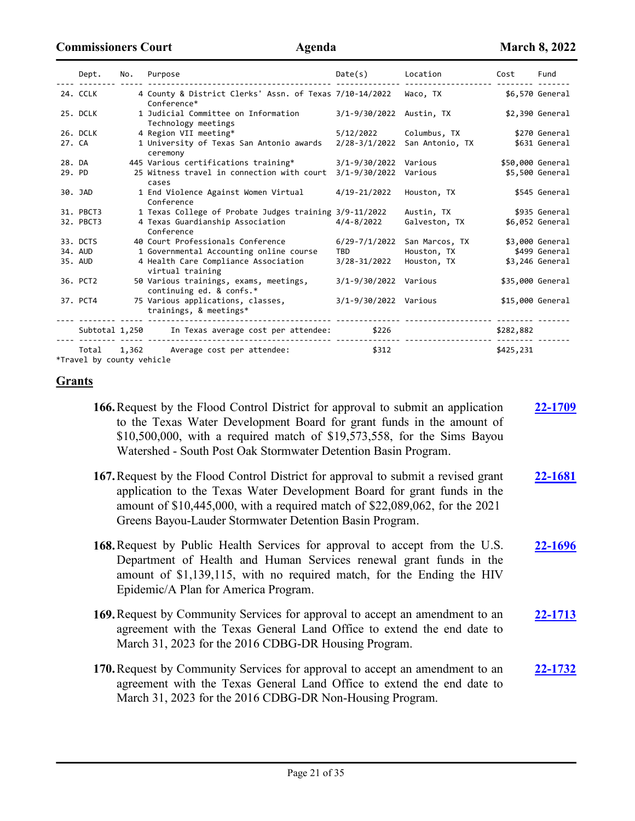|        | Dept.                              | No.   | Purpose                                                                | Date(s)               | Location        | Cost      | Fund             |
|--------|------------------------------------|-------|------------------------------------------------------------------------|-----------------------|-----------------|-----------|------------------|
|        | 24. CCLK                           |       | 4 County & District Clerks' Assn. of Texas 7/10-14/2022<br>Conference* |                       | Waco, TX        |           | \$6,570 General  |
|        | 25. DCLK                           |       | 1 Judicial Committee on Information<br>Technology meetings             | $3/1 - 9/30/2022$     | Austin, TX      |           | \$2,390 General  |
|        | 26. DCLK                           |       | 4 Region VII meeting*                                                  | 5/12/2022             | Columbus, TX    |           | \$270 General    |
| 27. CA |                                    |       | 1 University of Texas San Antonio awards<br>ceremony                   | $2/28 - 3/1/2022$     | San Antonio, TX |           | \$631 General    |
| 28. DA |                                    |       | 445 Various certifications training*                                   | $3/1 - 9/30/2022$     | Various         |           | \$50,000 General |
| 29. PD |                                    |       | 25 Witness travel in connection with court<br>cases                    | $3/1 - 9/30/2022$     | Various         |           | \$5,500 General  |
|        | 30. JAD                            |       | 1 End Violence Against Women Virtual<br>Conference                     | 4/19-21/2022          | Houston, TX     |           | \$545 General    |
|        | 31. PBCT3                          |       | 1 Texas College of Probate Judges training 3/9-11/2022                 |                       | Austin, TX      |           | \$935 General    |
|        | 32. PBCT3                          |       | 4 Texas Guardianship Association<br>Conference                         | $4/4 - 8/2022$        | Galveston, TX   |           | \$6,052 General  |
|        | 33. DCTS                           |       | 40 Court Professionals Conference                                      | $6/29 - 7/1/2022$     | San Marcos, TX  |           | \$3,000 General  |
|        | 34. AUD                            |       | 1 Governmental Accounting online course                                | <b>TBD</b>            | Houston, TX     |           | \$499 General    |
|        | 35. AUD                            |       | 4 Health Care Compliance Association<br>virtual training               | 3/28-31/2022          | Houston, TX     |           | \$3,246 General  |
|        | 36. PCT2                           |       | 50 Various trainings, exams, meetings,<br>continuing ed. & confs.*     | 3/1-9/30/2022 Various |                 |           | \$35,000 General |
|        | 37. PCT4                           |       | 75 Various applications, classes,<br>trainings, & meetings*            | 3/1-9/30/2022 Various |                 |           | \$15,000 General |
|        | Subtotal 1,250                     |       | In Texas average cost per attendee:                                    | \$226                 |                 | \$282,882 |                  |
|        | Total<br>*Travel by county vehicle | 1,362 | Average cost per attendee:                                             | \$312                 |                 | \$425,231 |                  |

**Grants**

- **166.**Request by the Flood Control District for approval to submit an application to the Texas Water Development Board for grant funds in the amount of \$10,500,000, with a required match of \$19,573,558, for the Sims Bayou Watershed - South Post Oak Stormwater Detention Basin Program. **[22-1709](http://harriscountytx.legistar.com/gateway.aspx?m=l&id=/matter.aspx?key=12253)**
- **167.**Request by the Flood Control District for approval to submit a revised grant application to the Texas Water Development Board for grant funds in the amount of \$10,445,000, with a required match of \$22,089,062, for the 2021 Greens Bayou-Lauder Stormwater Detention Basin Program. **[22-1681](http://harriscountytx.legistar.com/gateway.aspx?m=l&id=/matter.aspx?key=12225)**
- **168.**Request by Public Health Services for approval to accept from the U.S. Department of Health and Human Services renewal grant funds in the amount of \$1,139,115, with no required match, for the Ending the HIV Epidemic/A Plan for America Program. **[22-1696](http://harriscountytx.legistar.com/gateway.aspx?m=l&id=/matter.aspx?key=12240)**
- **169.**Request by Community Services for approval to accept an amendment to an agreement with the Texas General Land Office to extend the end date to March 31, 2023 for the 2016 CDBG-DR Housing Program. **[22-1713](http://harriscountytx.legistar.com/gateway.aspx?m=l&id=/matter.aspx?key=12257)**
- **170.**Request by Community Services for approval to accept an amendment to an agreement with the Texas General Land Office to extend the end date to March 31, 2023 for the 2016 CDBG-DR Non-Housing Program. **[22-1732](http://harriscountytx.legistar.com/gateway.aspx?m=l&id=/matter.aspx?key=12276)**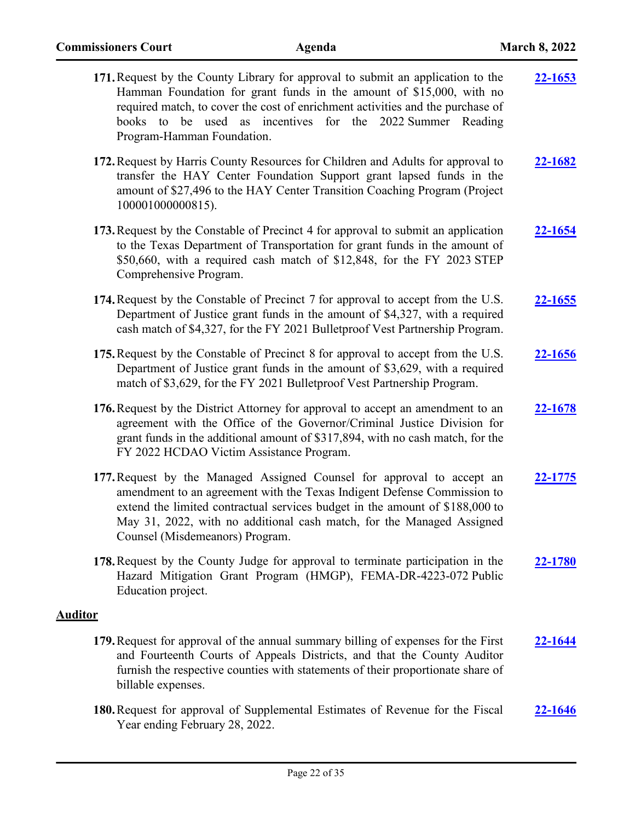| 171. Request by the County Library for approval to submit an application to the<br>Hamman Foundation for grant funds in the amount of \$15,000, with no<br>required match, to cover the cost of enrichment activities and the purchase of<br>books to be used as incentives for the 2022 Summer Reading<br>Program-Hamman Foundation.         | 22-1653        |
|-----------------------------------------------------------------------------------------------------------------------------------------------------------------------------------------------------------------------------------------------------------------------------------------------------------------------------------------------|----------------|
| 172. Request by Harris County Resources for Children and Adults for approval to<br>transfer the HAY Center Foundation Support grant lapsed funds in the<br>amount of \$27,496 to the HAY Center Transition Coaching Program (Project<br>100001000000815).                                                                                     | 22-1682        |
| 173. Request by the Constable of Precinct 4 for approval to submit an application<br>to the Texas Department of Transportation for grant funds in the amount of<br>\$50,660, with a required cash match of \$12,848, for the FY 2023 STEP<br>Comprehensive Program.                                                                           | <u>22-1654</u> |
| 174. Request by the Constable of Precinct 7 for approval to accept from the U.S.<br>Department of Justice grant funds in the amount of \$4,327, with a required<br>cash match of \$4,327, for the FY 2021 Bulletproof Vest Partnership Program.                                                                                               | 22-1655        |
| 175. Request by the Constable of Precinct 8 for approval to accept from the U.S.<br>Department of Justice grant funds in the amount of \$3,629, with a required<br>match of \$3,629, for the FY 2021 Bulletproof Vest Partnership Program.                                                                                                    | 22-1656        |
| 176. Request by the District Attorney for approval to accept an amendment to an<br>agreement with the Office of the Governor/Criminal Justice Division for<br>grant funds in the additional amount of \$317,894, with no cash match, for the<br>FY 2022 HCDAO Victim Assistance Program.                                                      | 22-1678        |
| 177. Request by the Managed Assigned Counsel for approval to accept an<br>amendment to an agreement with the Texas Indigent Defense Commission to<br>extend the limited contractual services budget in the amount of \$188,000 to<br>May 31, 2022, with no additional cash match, for the Managed Assigned<br>Counsel (Misdemeanors) Program. | 22-1775        |
| 178. Request by the County Judge for approval to terminate participation in the<br>Hazard Mitigation Grant Program (HMGP), FEMA-DR-4223-072 Public<br>Education project.                                                                                                                                                                      | 22-1780        |
| <b>Auditor</b>                                                                                                                                                                                                                                                                                                                                |                |
| 179. Request for approval of the annual summary billing of expenses for the First<br>and Fourteenth Courts of Appeals Districts, and that the County Auditor<br>furnish the respective counties with statements of their proportionate share of<br>billable expenses.                                                                         | 22-1644        |
| 180. Request for approval of Supplemental Estimates of Revenue for the Fiscal<br>Year ending February 28, 2022.                                                                                                                                                                                                                               | 22-1646        |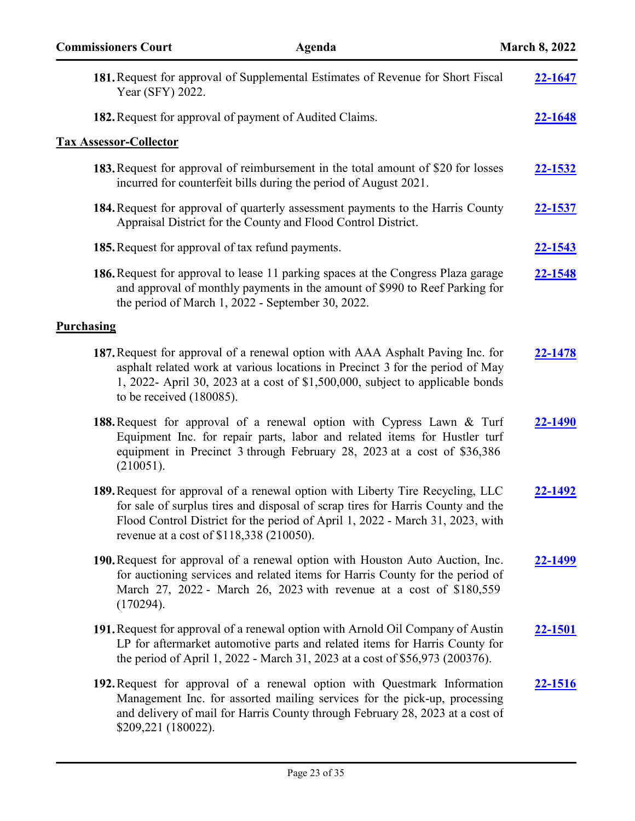| <b>Commissioners Court</b>    | Agenda                                                                                                                                                                                                                                                                                         | <b>March 8, 2022</b> |
|-------------------------------|------------------------------------------------------------------------------------------------------------------------------------------------------------------------------------------------------------------------------------------------------------------------------------------------|----------------------|
| Year (SFY) 2022.              | 181. Request for approval of Supplemental Estimates of Revenue for Short Fiscal                                                                                                                                                                                                                | 22-1647              |
|                               | 182. Request for approval of payment of Audited Claims.                                                                                                                                                                                                                                        | <u>22-1648</u>       |
| <b>Tax Assessor-Collector</b> |                                                                                                                                                                                                                                                                                                |                      |
|                               | <b>183.</b> Request for approval of reimbursement in the total amount of \$20 for losses<br>incurred for counterfeit bills during the period of August 2021.                                                                                                                                   | 22-1532              |
|                               | 184. Request for approval of quarterly assessment payments to the Harris County<br>Appraisal District for the County and Flood Control District.                                                                                                                                               | 22-1537              |
|                               | 185. Request for approval of tax refund payments.                                                                                                                                                                                                                                              | <u>22-1543</u>       |
|                               | 186. Request for approval to lease 11 parking spaces at the Congress Plaza garage<br>and approval of monthly payments in the amount of \$990 to Reef Parking for<br>the period of March 1, 2022 - September 30, 2022.                                                                          | 22-1548              |
| <b>Purchasing</b>             |                                                                                                                                                                                                                                                                                                |                      |
| to be received $(180085)$ .   | 187. Request for approval of a renewal option with AAA Asphalt Paving Inc. for<br>asphalt related work at various locations in Precinct 3 for the period of May<br>1, 2022- April 30, 2023 at a cost of $$1,500,000$ , subject to applicable bonds                                             | 22-1478              |
| (210051).                     | 188. Request for approval of a renewal option with Cypress Lawn & Turf<br>Equipment Inc. for repair parts, labor and related items for Hustler turf<br>equipment in Precinct 3 through February 28, 2023 at a cost of \$36,386                                                                 | 22-1490              |
|                               | 189. Request for approval of a renewal option with Liberty Tire Recycling, LLC<br>for sale of surplus tires and disposal of scrap tires for Harris County and the<br>Flood Control District for the period of April 1, 2022 - March 31, 2023, with<br>revenue at a cost of \$118,338 (210050). | 22-1492              |
| (170294).                     | 190. Request for approval of a renewal option with Houston Auto Auction, Inc.<br>for auctioning services and related items for Harris County for the period of<br>March 27, 2022 - March 26, 2023 with revenue at a cost of \$180,559                                                          | <u>22-1499</u>       |
|                               | 191. Request for approval of a renewal option with Arnold Oil Company of Austin<br>LP for aftermarket automotive parts and related items for Harris County for<br>the period of April 1, 2022 - March 31, 2023 at a cost of \$56,973 (200376).                                                 | <u>22-1501</u>       |
| \$209,221 (180022).           | 192. Request for approval of a renewal option with Questmark Information<br>Management Inc. for assorted mailing services for the pick-up, processing<br>and delivery of mail for Harris County through February 28, 2023 at a cost of                                                         | 22-1516              |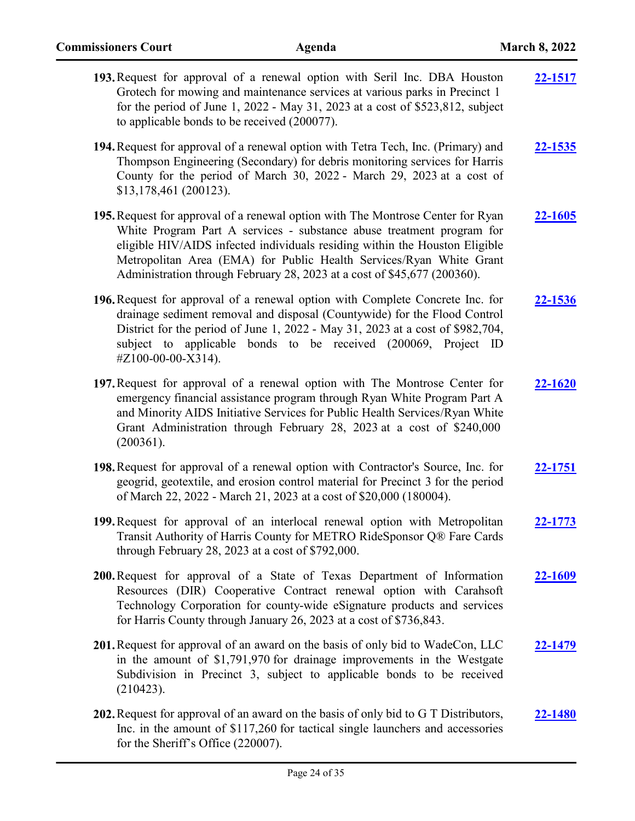| 193. Request for approval of a renewal option with Seril Inc. DBA Houston<br>Grotech for mowing and maintenance services at various parks in Precinct 1<br>for the period of June 1, 2022 - May 31, 2023 at a cost of \$523,812, subject<br>to applicable bonds to be received (200077).                                                                                                   | 22-1517        |
|--------------------------------------------------------------------------------------------------------------------------------------------------------------------------------------------------------------------------------------------------------------------------------------------------------------------------------------------------------------------------------------------|----------------|
| 194. Request for approval of a renewal option with Tetra Tech, Inc. (Primary) and<br>Thompson Engineering (Secondary) for debris monitoring services for Harris<br>County for the period of March 30, 2022 - March 29, 2023 at a cost of<br>\$13,178,461 (200123).                                                                                                                         | <b>22-1535</b> |
| 195. Request for approval of a renewal option with The Montrose Center for Ryan<br>White Program Part A services - substance abuse treatment program for<br>eligible HIV/AIDS infected individuals residing within the Houston Eligible<br>Metropolitan Area (EMA) for Public Health Services/Ryan White Grant<br>Administration through February 28, 2023 at a cost of \$45,677 (200360). | <u>22-1605</u> |
| 196. Request for approval of a renewal option with Complete Concrete Inc. for<br>drainage sediment removal and disposal (Countywide) for the Flood Control<br>District for the period of June 1, 2022 - May 31, 2023 at a cost of \$982,704,<br>subject to applicable bonds to be received (200069, Project ID<br>#Z100-00-00-X314).                                                       | 22-1536        |
| 197. Request for approval of a renewal option with The Montrose Center for<br>emergency financial assistance program through Ryan White Program Part A<br>and Minority AIDS Initiative Services for Public Health Services/Ryan White<br>Grant Administration through February 28, 2023 at a cost of \$240,000<br>(200361).                                                                | 22-1620        |
| 198. Request for approval of a renewal option with Contractor's Source, Inc. for<br>geogrid, geotextile, and erosion control material for Precinct 3 for the period<br>of March 22, 2022 - March 21, 2023 at a cost of \$20,000 (180004).                                                                                                                                                  | 22-1751        |
| 199. Request for approval of an interlocal renewal option with Metropolitan<br>Transit Authority of Harris County for METRO RideSponsor Q® Fare Cards<br>through February 28, 2023 at a cost of \$792,000.                                                                                                                                                                                 | 22-1773        |
| 200. Request for approval of a State of Texas Department of Information<br>Resources (DIR) Cooperative Contract renewal option with Carahsoft<br>Technology Corporation for county-wide eSignature products and services<br>for Harris County through January 26, 2023 at a cost of \$736,843.                                                                                             | 22-1609        |
| 201. Request for approval of an award on the basis of only bid to WadeCon, LLC<br>in the amount of \$1,791,970 for drainage improvements in the Westgate<br>Subdivision in Precinct 3, subject to applicable bonds to be received<br>(210423).                                                                                                                                             | 22-1479        |
| 202. Request for approval of an award on the basis of only bid to G T Distributors,<br>Inc. in the amount of \$117,260 for tactical single launchers and accessories<br>for the Sheriff's Office (220007).                                                                                                                                                                                 | <b>22-1480</b> |

Page 24 of 35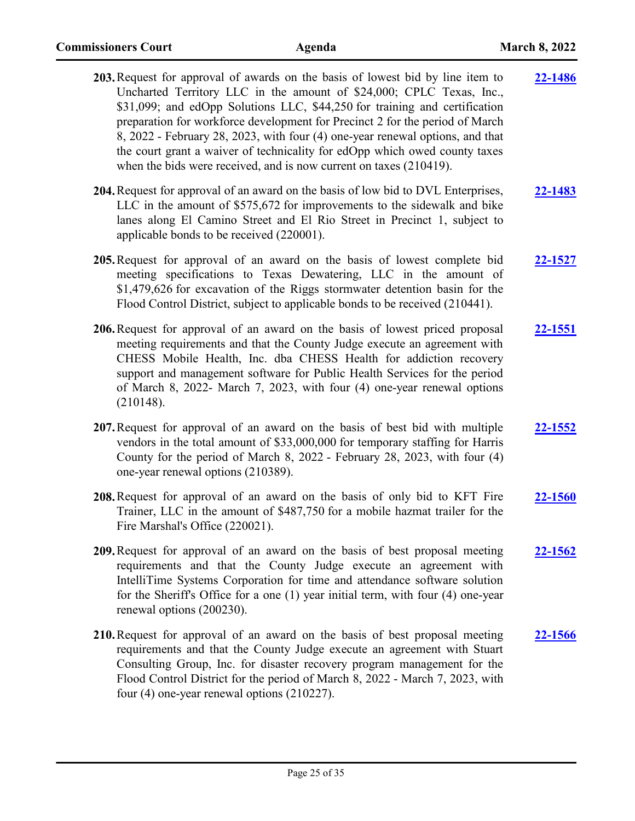| 203. Request for approval of awards on the basis of lowest bid by line item to<br>Uncharted Territory LLC in the amount of \$24,000; CPLC Texas, Inc.,<br>\$31,099; and edOpp Solutions LLC, \$44,250 for training and certification<br>preparation for workforce development for Precinct 2 for the period of March<br>8, 2022 - February 28, 2023, with four (4) one-year renewal options, and that<br>the court grant a waiver of technicality for edOpp which owed county taxes<br>when the bids were received, and is now current on taxes (210419). | 22-1486        |
|-----------------------------------------------------------------------------------------------------------------------------------------------------------------------------------------------------------------------------------------------------------------------------------------------------------------------------------------------------------------------------------------------------------------------------------------------------------------------------------------------------------------------------------------------------------|----------------|
| 204. Request for approval of an award on the basis of low bid to DVL Enterprises,<br>LLC in the amount of \$575,672 for improvements to the sidewalk and bike<br>lanes along El Camino Street and El Rio Street in Precinct 1, subject to<br>applicable bonds to be received (220001).                                                                                                                                                                                                                                                                    | 22-1483        |
| 205. Request for approval of an award on the basis of lowest complete bid<br>meeting specifications to Texas Dewatering, LLC in the amount of<br>\$1,479,626 for excavation of the Riggs stormwater detention basin for the<br>Flood Control District, subject to applicable bonds to be received (210441).                                                                                                                                                                                                                                               | 22-1527        |
| 206. Request for approval of an award on the basis of lowest priced proposal<br>meeting requirements and that the County Judge execute an agreement with<br>CHESS Mobile Health, Inc. dba CHESS Health for addiction recovery<br>support and management software for Public Health Services for the period<br>of March 8, 2022- March 7, 2023, with four (4) one-year renewal options<br>(210148).                                                                                                                                                        | 22-1551        |
| 207. Request for approval of an award on the basis of best bid with multiple<br>vendors in the total amount of \$33,000,000 for temporary staffing for Harris<br>County for the period of March 8, 2022 - February 28, 2023, with four (4)<br>one-year renewal options (210389).                                                                                                                                                                                                                                                                          | <b>22-1552</b> |
| 208. Request for approval of an award on the basis of only bid to KFT Fire<br>Trainer, LLC in the amount of \$487,750 for a mobile hazmat trailer for the<br>Fire Marshal's Office (220021).                                                                                                                                                                                                                                                                                                                                                              | <b>22-1560</b> |
| 209. Request for approval of an award on the basis of best proposal meeting<br>requirements and that the County Judge execute an agreement with<br>IntelliTime Systems Corporation for time and attendance software solution<br>for the Sheriff's Office for a one (1) year initial term, with four (4) one-year<br>renewal options (200230).                                                                                                                                                                                                             | 22-1562        |
| 210. Request for approval of an award on the basis of best proposal meeting<br>requirements and that the County Judge execute an agreement with Stuart<br>Consulting Group, Inc. for disaster recovery program management for the<br>Flood Control District for the period of March 8, 2022 - March 7, 2023, with<br>four $(4)$ one-year renewal options $(210227)$ .                                                                                                                                                                                     | <u>22-1566</u> |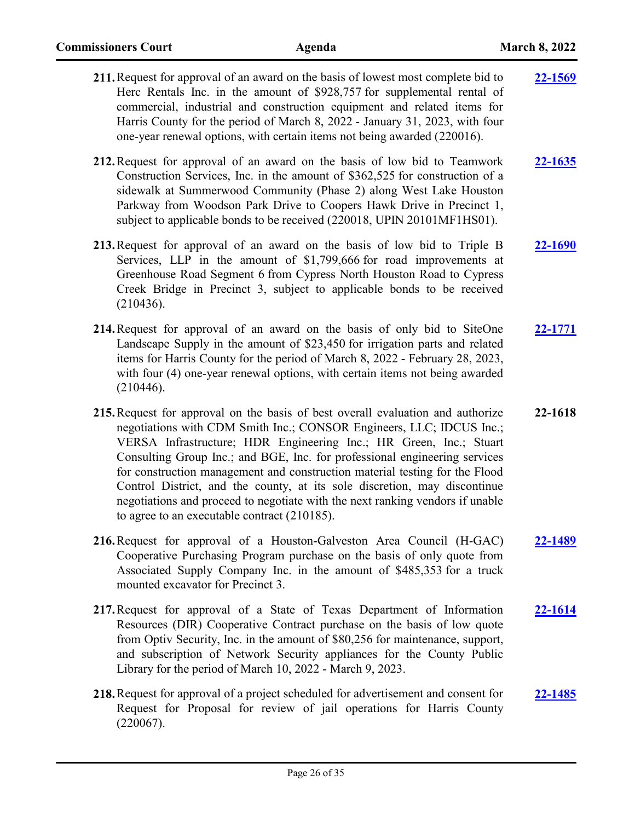| 211. Request for approval of an award on the basis of lowest most complete bid to<br>Herc Rentals Inc. in the amount of \$928,757 for supplemental rental of<br>commercial, industrial and construction equipment and related items for<br>Harris County for the period of March 8, 2022 - January 31, 2023, with four<br>one-year renewal options, with certain items not being awarded (220016).                                                                                                                                                                                                       | 22-1569 |
|----------------------------------------------------------------------------------------------------------------------------------------------------------------------------------------------------------------------------------------------------------------------------------------------------------------------------------------------------------------------------------------------------------------------------------------------------------------------------------------------------------------------------------------------------------------------------------------------------------|---------|
| 212. Request for approval of an award on the basis of low bid to Teamwork<br>Construction Services, Inc. in the amount of \$362,525 for construction of a<br>sidewalk at Summerwood Community (Phase 2) along West Lake Houston<br>Parkway from Woodson Park Drive to Coopers Hawk Drive in Precinct 1,<br>subject to applicable bonds to be received (220018, UPIN 20101MF1HS01).                                                                                                                                                                                                                       | 22-1635 |
| 213. Request for approval of an award on the basis of low bid to Triple B<br>Services, LLP in the amount of \$1,799,666 for road improvements at<br>Greenhouse Road Segment 6 from Cypress North Houston Road to Cypress<br>Creek Bridge in Precinct 3, subject to applicable bonds to be received<br>(210436).                                                                                                                                                                                                                                                                                          | 22-1690 |
| 214. Request for approval of an award on the basis of only bid to SiteOne<br>Landscape Supply in the amount of \$23,450 for irrigation parts and related<br>items for Harris County for the period of March 8, 2022 - February 28, 2023,<br>with four (4) one-year renewal options, with certain items not being awarded<br>(210446).                                                                                                                                                                                                                                                                    | 22-1771 |
| 215. Request for approval on the basis of best overall evaluation and authorize<br>negotiations with CDM Smith Inc.; CONSOR Engineers, LLC; IDCUS Inc.;<br>VERSA Infrastructure; HDR Engineering Inc.; HR Green, Inc.; Stuart<br>Consulting Group Inc.; and BGE, Inc. for professional engineering services<br>for construction management and construction material testing for the Flood<br>Control District, and the county, at its sole discretion, may discontinue<br>negotiations and proceed to negotiate with the next ranking vendors if unable<br>to agree to an executable contract (210185). | 22-1618 |
| 216. Request for approval of a Houston-Galveston Area Council (H-GAC)<br>Cooperative Purchasing Program purchase on the basis of only quote from<br>Associated Supply Company Inc. in the amount of \$485,353 for a truck<br>mounted excavator for Precinct 3.                                                                                                                                                                                                                                                                                                                                           | 22-1489 |
| 217. Request for approval of a State of Texas Department of Information<br>Resources (DIR) Cooperative Contract purchase on the basis of low quote<br>from Optiv Security, Inc. in the amount of \$80,256 for maintenance, support,<br>and subscription of Network Security appliances for the County Public<br>Library for the period of March 10, 2022 - March 9, 2023.                                                                                                                                                                                                                                | 22-1614 |
| 218. Request for approval of a project scheduled for advertisement and consent for<br>Request for Proposal for review of jail operations for Harris County<br>(220067).                                                                                                                                                                                                                                                                                                                                                                                                                                  | 22-1485 |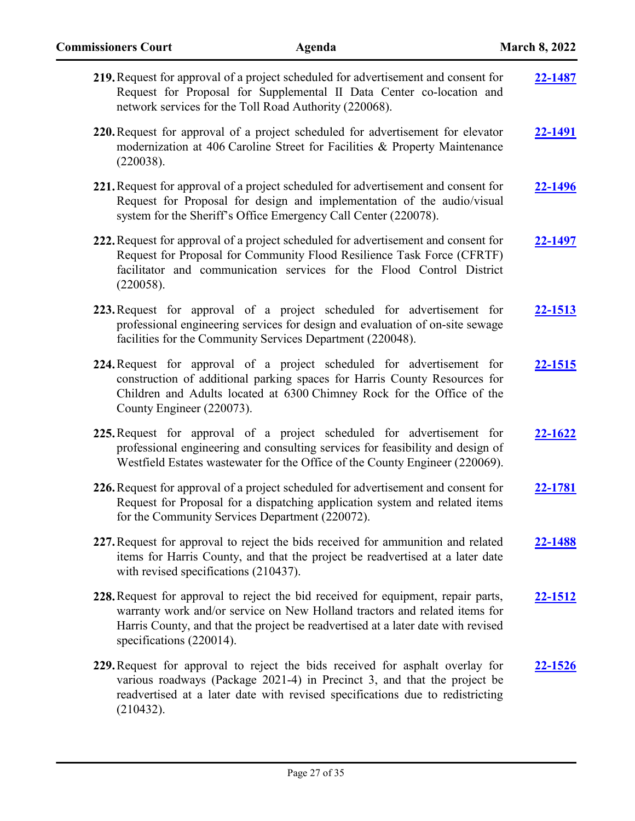| 219. Request for approval of a project scheduled for advertisement and consent for<br>Request for Proposal for Supplemental II Data Center co-location and<br>network services for the Toll Road Authority (220068).                                                            | 22-1487        |
|---------------------------------------------------------------------------------------------------------------------------------------------------------------------------------------------------------------------------------------------------------------------------------|----------------|
| 220. Request for approval of a project scheduled for advertisement for elevator<br>modernization at 406 Caroline Street for Facilities & Property Maintenance<br>(220038).                                                                                                      | <u>22-1491</u> |
| 221. Request for approval of a project scheduled for advertisement and consent for<br>Request for Proposal for design and implementation of the audio/visual<br>system for the Sheriff's Office Emergency Call Center (220078).                                                 | 22-1496        |
| 222. Request for approval of a project scheduled for advertisement and consent for<br>Request for Proposal for Community Flood Resilience Task Force (CFRTF)<br>facilitator and communication services for the Flood Control District<br>(220058).                              | <u>22-1497</u> |
| 223. Request for approval of a project scheduled for advertisement for<br>professional engineering services for design and evaluation of on-site sewage<br>facilities for the Community Services Department (220048).                                                           | 22-1513        |
| 224. Request for approval of a project scheduled for advertisement for<br>construction of additional parking spaces for Harris County Resources for<br>Children and Adults located at 6300 Chimney Rock for the Office of the<br>County Engineer (220073).                      | 22-1515        |
| 225. Request for approval of a project scheduled for advertisement for<br>professional engineering and consulting services for feasibility and design of<br>Westfield Estates wastewater for the Office of the County Engineer (220069).                                        | 22-1622        |
| 226. Request for approval of a project scheduled for advertisement and consent for<br>Request for Proposal for a dispatching application system and related items<br>for the Community Services Department (220072).                                                            | 22-1781        |
| 227. Request for approval to reject the bids received for ammunition and related<br>items for Harris County, and that the project be readvertised at a later date<br>with revised specifications (210437).                                                                      | 22-1488        |
| 228. Request for approval to reject the bid received for equipment, repair parts,<br>warranty work and/or service on New Holland tractors and related items for<br>Harris County, and that the project be readvertised at a later date with revised<br>specifications (220014). | 22-1512        |
| 229. Request for approval to reject the bids received for asphalt overlay for<br>various roadways (Package 2021-4) in Precinct 3, and that the project be<br>readvertised at a later date with revised specifications due to redistricting<br>(210432).                         | 22-1526        |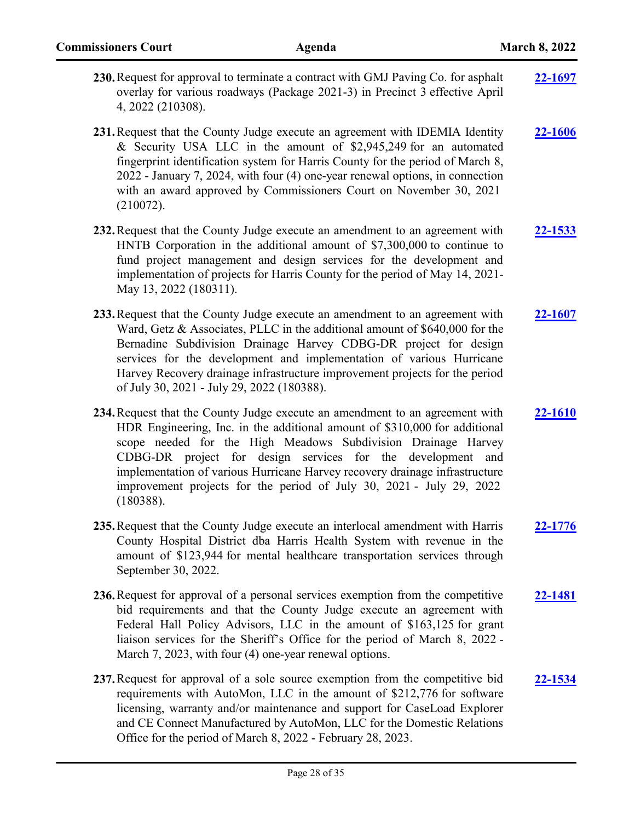| 230. Request for approval to terminate a contract with GMJ Paving Co. for asphalt | 22-1697 |
|-----------------------------------------------------------------------------------|---------|
| overlay for various roadways (Package 2021-3) in Precinct 3 effective April       |         |
| 4, 2022 (210308).                                                                 |         |
|                                                                                   |         |

**231.**Request that the County Judge execute an agreement with IDEMIA Identity & Security USA LLC in the amount of \$2,945,249 for an automated fingerprint identification system for Harris County for the period of March 8, 2022 - January 7, 2024, with four (4) one-year renewal options, in connection with an award approved by Commissioners Court on November 30, 2021 (210072). **[22-1606](http://harriscountytx.legistar.com/gateway.aspx?m=l&id=/matter.aspx?key=12150)**

- **232.**Request that the County Judge execute an amendment to an agreement with HNTB Corporation in the additional amount of \$7,300,000 to continue to fund project management and design services for the development and implementation of projects for Harris County for the period of May 14, 2021- May 13, 2022 (180311). **[22-1533](http://harriscountytx.legistar.com/gateway.aspx?m=l&id=/matter.aspx?key=12077)**
- **233.**Request that the County Judge execute an amendment to an agreement with Ward, Getz & Associates, PLLC in the additional amount of \$640,000 for the Bernadine Subdivision Drainage Harvey CDBG-DR project for design services for the development and implementation of various Hurricane Harvey Recovery drainage infrastructure improvement projects for the period of July 30, 2021 - July 29, 2022 (180388). **[22-1607](http://harriscountytx.legistar.com/gateway.aspx?m=l&id=/matter.aspx?key=12151)**
- **234.**Request that the County Judge execute an amendment to an agreement with HDR Engineering, Inc. in the additional amount of \$310,000 for additional scope needed for the High Meadows Subdivision Drainage Harvey CDBG-DR project for design services for the development and implementation of various Hurricane Harvey recovery drainage infrastructure improvement projects for the period of July 30, 2021 - July 29, 2022 (180388). **[22-1610](http://harriscountytx.legistar.com/gateway.aspx?m=l&id=/matter.aspx?key=12154)**
- **235.**Request that the County Judge execute an interlocal amendment with Harris County Hospital District dba Harris Health System with revenue in the amount of \$123,944 for mental healthcare transportation services through September 30, 2022. **[22-1776](http://harriscountytx.legistar.com/gateway.aspx?m=l&id=/matter.aspx?key=12320)**
- **236.**Request for approval of a personal services exemption from the competitive bid requirements and that the County Judge execute an agreement with Federal Hall Policy Advisors, LLC in the amount of \$163,125 for grant liaison services for the Sheriff's Office for the period of March 8, 2022 - March 7, 2023, with four (4) one-year renewal options. **[22-1481](http://harriscountytx.legistar.com/gateway.aspx?m=l&id=/matter.aspx?key=12025)**
- **237.**Request for approval of a sole source exemption from the competitive bid requirements with AutoMon, LLC in the amount of \$212,776 for software licensing, warranty and/or maintenance and support for CaseLoad Explorer and CE Connect Manufactured by AutoMon, LLC for the Domestic Relations Office for the period of March 8, 2022 - February 28, 2023. **[22-1534](http://harriscountytx.legistar.com/gateway.aspx?m=l&id=/matter.aspx?key=12078)**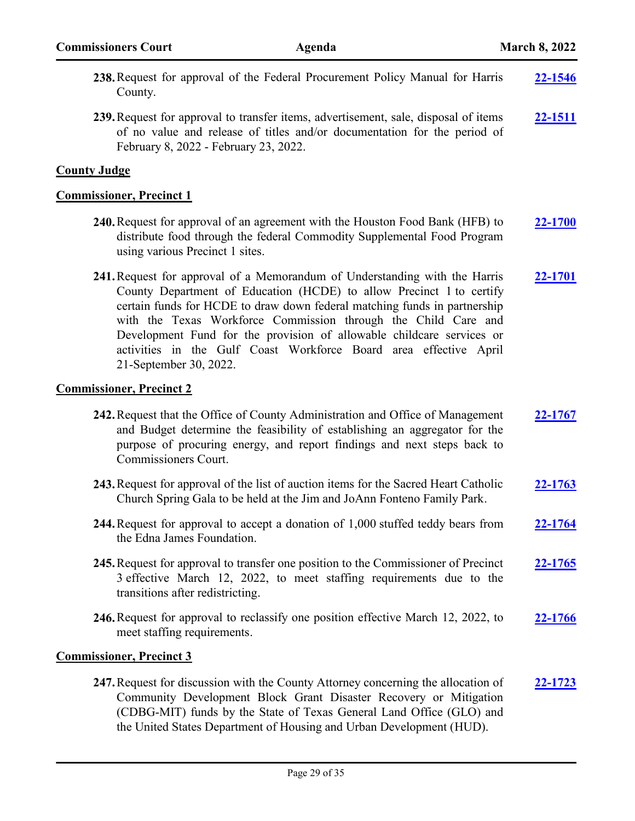| 238. Request for approval of the Federal Procurement Policy Manual for Harris<br>County.                                                                                                                                                                                                                                                                                                                                                                                  | 22-1546 |
|---------------------------------------------------------------------------------------------------------------------------------------------------------------------------------------------------------------------------------------------------------------------------------------------------------------------------------------------------------------------------------------------------------------------------------------------------------------------------|---------|
| 239. Request for approval to transfer items, advertisement, sale, disposal of items<br>of no value and release of titles and/or documentation for the period of<br>February 8, 2022 - February 23, 2022.                                                                                                                                                                                                                                                                  | 22-1511 |
| <b>County Judge</b>                                                                                                                                                                                                                                                                                                                                                                                                                                                       |         |
| <b>Commissioner, Precinct 1</b>                                                                                                                                                                                                                                                                                                                                                                                                                                           |         |
| 240. Request for approval of an agreement with the Houston Food Bank (HFB) to<br>distribute food through the federal Commodity Supplemental Food Program<br>using various Precinct 1 sites.                                                                                                                                                                                                                                                                               | 22-1700 |
| 241. Request for approval of a Memorandum of Understanding with the Harris<br>County Department of Education (HCDE) to allow Precinct 1 to certify<br>certain funds for HCDE to draw down federal matching funds in partnership<br>with the Texas Workforce Commission through the Child Care and<br>Development Fund for the provision of allowable childcare services or<br>activities in the Gulf Coast Workforce Board area effective April<br>21-September 30, 2022. | 22-1701 |
| <b>Commissioner, Precinct 2</b>                                                                                                                                                                                                                                                                                                                                                                                                                                           |         |
| 242. Request that the Office of County Administration and Office of Management<br>and Budget determine the feasibility of establishing an aggregator for the<br>purpose of procuring energy, and report findings and next steps back to<br>Commissioners Court.                                                                                                                                                                                                           | 22-1767 |
| 243. Request for approval of the list of auction items for the Sacred Heart Catholic<br>Church Spring Gala to be held at the Jim and JoAnn Fonteno Family Park.                                                                                                                                                                                                                                                                                                           | 22-1763 |
| 244. Request for approval to accept a donation of 1,000 stuffed teddy bears from<br>the Edna James Foundation.                                                                                                                                                                                                                                                                                                                                                            | 22-1764 |
| 245. Request for approval to transfer one position to the Commissioner of Precinct<br>3 effective March 12, 2022, to meet staffing requirements due to the<br>transitions after redistricting.                                                                                                                                                                                                                                                                            | 22-1765 |
| 246. Request for approval to reclassify one position effective March 12, 2022, to<br>meet staffing requirements.                                                                                                                                                                                                                                                                                                                                                          | 22-1766 |
| <b>Commissioner, Precinct 3</b>                                                                                                                                                                                                                                                                                                                                                                                                                                           |         |
| 247. Request for discussion with the County Attorney concerning the allocation of<br>Community Development Block Grant Disaster Recovery or Mitigation<br>(CDBG-MIT) funds by the State of Texas General Land Office (GLO) and<br>the United States Department of Housing and Urban Development (HUD).                                                                                                                                                                    | 22-1723 |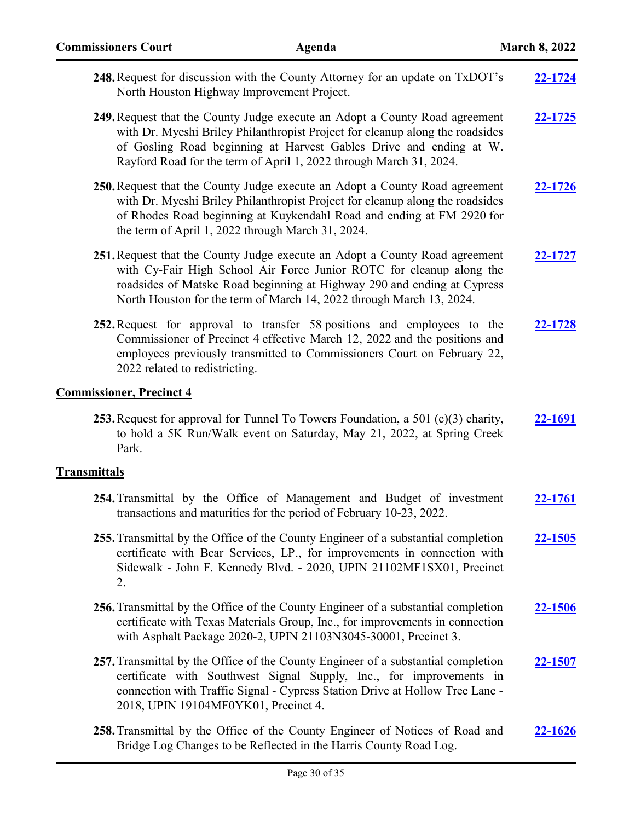| <b>Commissioners Court</b>                        | Agenda                                                                                                                                                                                                                                                                                                   | <b>March 8, 2022</b> |
|---------------------------------------------------|----------------------------------------------------------------------------------------------------------------------------------------------------------------------------------------------------------------------------------------------------------------------------------------------------------|----------------------|
| North Houston Highway Improvement Project.        | 248. Request for discussion with the County Attorney for an update on TxDOT's                                                                                                                                                                                                                            | 22-1724              |
|                                                   | 249. Request that the County Judge execute an Adopt a County Road agreement<br>with Dr. Myeshi Briley Philanthropist Project for cleanup along the roadsides<br>of Gosling Road beginning at Harvest Gables Drive and ending at W.<br>Rayford Road for the term of April 1, 2022 through March 31, 2024. | 22-1725              |
| the term of April 1, 2022 through March 31, 2024. | 250. Request that the County Judge execute an Adopt a County Road agreement<br>with Dr. Myeshi Briley Philanthropist Project for cleanup along the roadsides<br>of Rhodes Road beginning at Kuykendahl Road and ending at FM 2920 for                                                                    | 22-1726              |
|                                                   | 251. Request that the County Judge execute an Adopt a County Road agreement<br>with Cy-Fair High School Air Force Junior ROTC for cleanup along the<br>roadsides of Matske Road beginning at Highway 290 and ending at Cypress<br>North Houston for the term of March 14, 2022 through March 13, 2024.   | 22-1727              |
| 2022 related to redistricting.                    | 252. Request for approval to transfer 58 positions and employees to the<br>Commissioner of Precinct 4 effective March 12, 2022 and the positions and<br>employees previously transmitted to Commissioners Court on February 22,                                                                          | <u>22-1728</u>       |
| <b>Commissioner, Precinct 4</b>                   |                                                                                                                                                                                                                                                                                                          |                      |
| Park.                                             | 253. Request for approval for Tunnel To Towers Foundation, a 501 $(c)(3)$ charity,<br>to hold a 5K Run/Walk event on Saturday, May 21, 2022, at Spring Creek                                                                                                                                             | 22-1691              |
| <b>Transmittals</b>                               |                                                                                                                                                                                                                                                                                                          |                      |
|                                                   | 254. Transmittal by the Office of Management and Budget of investment<br>transactions and maturities for the period of February 10-23, 2022.                                                                                                                                                             | 22-1761              |
| 2.                                                | 255. Transmittal by the Office of the County Engineer of a substantial completion<br>certificate with Bear Services, LP., for improvements in connection with<br>Sidewalk - John F. Kennedy Blvd. - 2020, UPIN 21102MF1SX01, Precinct                                                                    | <u>22-1505</u>       |
|                                                   | 256. Transmittal by the Office of the County Engineer of a substantial completion<br>certificate with Texas Materials Group, Inc., for improvements in connection<br>with Asphalt Package 2020-2, UPIN 21103N3045-30001, Precinct 3.                                                                     | 22-1506              |
| 2018, UPIN 19104MF0YK01, Precinct 4.              | 257. Transmittal by the Office of the County Engineer of a substantial completion<br>certificate with Southwest Signal Supply, Inc., for improvements in<br>connection with Traffic Signal - Cypress Station Drive at Hollow Tree Lane -                                                                 | <u>22-1507</u>       |
|                                                   | 258. Transmittal by the Office of the County Engineer of Notices of Road and<br>Bridge Log Changes to be Reflected in the Harris County Road Log.                                                                                                                                                        | <u>22-1626</u>       |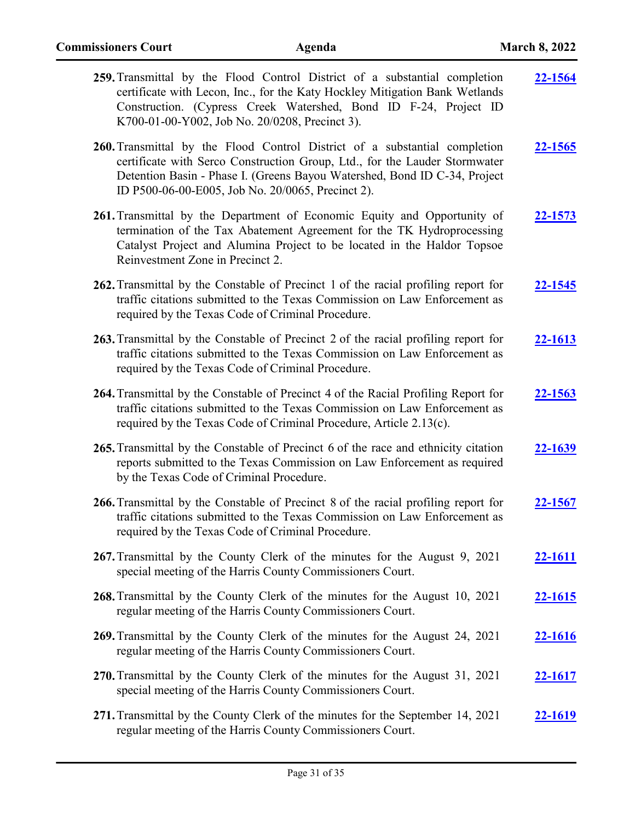| 259. Transmittal by the Flood Control District of a substantial completion<br>certificate with Lecon, Inc., for the Katy Hockley Mitigation Bank Wetlands<br>Construction. (Cypress Creek Watershed, Bond ID F-24, Project ID<br>K700-01-00-Y002, Job No. 20/0208, Precinct 3).            | 22-1564        |
|--------------------------------------------------------------------------------------------------------------------------------------------------------------------------------------------------------------------------------------------------------------------------------------------|----------------|
| 260. Transmittal by the Flood Control District of a substantial completion<br>certificate with Serco Construction Group, Ltd., for the Lauder Stormwater<br>Detention Basin - Phase I. (Greens Bayou Watershed, Bond ID C-34, Project<br>ID P500-06-00-E005, Job No. 20/0065, Precinct 2). | 22-1565        |
| 261. Transmittal by the Department of Economic Equity and Opportunity of<br>termination of the Tax Abatement Agreement for the TK Hydroprocessing<br>Catalyst Project and Alumina Project to be located in the Haldor Topsoe<br>Reinvestment Zone in Precinct 2.                           | 22-1573        |
| 262. Transmittal by the Constable of Precinct 1 of the racial profiling report for<br>traffic citations submitted to the Texas Commission on Law Enforcement as<br>required by the Texas Code of Criminal Procedure.                                                                       | <b>22-1545</b> |
| 263. Transmittal by the Constable of Precinct 2 of the racial profiling report for<br>traffic citations submitted to the Texas Commission on Law Enforcement as<br>required by the Texas Code of Criminal Procedure.                                                                       | 22-1613        |
| 264. Transmittal by the Constable of Precinct 4 of the Racial Profiling Report for<br>traffic citations submitted to the Texas Commission on Law Enforcement as<br>required by the Texas Code of Criminal Procedure, Article 2.13(c).                                                      | 22-1563        |
| 265. Transmittal by the Constable of Precinct 6 of the race and ethnicity citation<br>reports submitted to the Texas Commission on Law Enforcement as required<br>by the Texas Code of Criminal Procedure.                                                                                 | 22-1639        |
| 266. Transmittal by the Constable of Precinct 8 of the racial profiling report for<br>traffic citations submitted to the Texas Commission on Law Enforcement as<br>required by the Texas Code of Criminal Procedure.                                                                       | 22-1567        |
| 267. Transmittal by the County Clerk of the minutes for the August 9, 2021<br>special meeting of the Harris County Commissioners Court.                                                                                                                                                    | <u>22-1611</u> |
| 268. Transmittal by the County Clerk of the minutes for the August 10, 2021<br>regular meeting of the Harris County Commissioners Court.                                                                                                                                                   | 22-1615        |
| 269. Transmittal by the County Clerk of the minutes for the August 24, 2021<br>regular meeting of the Harris County Commissioners Court.                                                                                                                                                   | <u>22-1616</u> |
| 270. Transmittal by the County Clerk of the minutes for the August 31, 2021<br>special meeting of the Harris County Commissioners Court.                                                                                                                                                   | <u>22-1617</u> |
| 271. Transmittal by the County Clerk of the minutes for the September 14, 2021<br>regular meeting of the Harris County Commissioners Court.                                                                                                                                                | <u>22-1619</u> |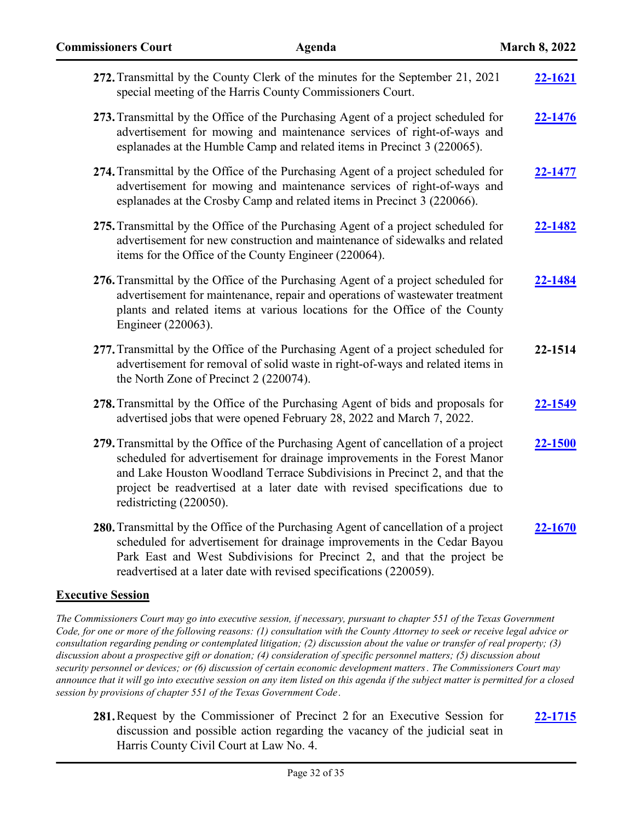| <b>Commissioners Court</b><br><b>Agenda</b>                                                                                 | <b>March 8, 2022</b>                                                                                                                                                                                                                                                                                                                                                                                                                                                                                                                                                                                                                                                                                                                                                                                                                                                                                                                                                                                                                                                          |
|-----------------------------------------------------------------------------------------------------------------------------|-------------------------------------------------------------------------------------------------------------------------------------------------------------------------------------------------------------------------------------------------------------------------------------------------------------------------------------------------------------------------------------------------------------------------------------------------------------------------------------------------------------------------------------------------------------------------------------------------------------------------------------------------------------------------------------------------------------------------------------------------------------------------------------------------------------------------------------------------------------------------------------------------------------------------------------------------------------------------------------------------------------------------------------------------------------------------------|
| 272. Transmittal by the County Clerk of the minutes for the September 21, 2021                                              | 22-1621                                                                                                                                                                                                                                                                                                                                                                                                                                                                                                                                                                                                                                                                                                                                                                                                                                                                                                                                                                                                                                                                       |
| 273. Transmittal by the Office of the Purchasing Agent of a project scheduled for                                           | 22-1476                                                                                                                                                                                                                                                                                                                                                                                                                                                                                                                                                                                                                                                                                                                                                                                                                                                                                                                                                                                                                                                                       |
| 274. Transmittal by the Office of the Purchasing Agent of a project scheduled for                                           | 22-1477                                                                                                                                                                                                                                                                                                                                                                                                                                                                                                                                                                                                                                                                                                                                                                                                                                                                                                                                                                                                                                                                       |
| 275. Transmittal by the Office of the Purchasing Agent of a project scheduled for                                           | 22-1482                                                                                                                                                                                                                                                                                                                                                                                                                                                                                                                                                                                                                                                                                                                                                                                                                                                                                                                                                                                                                                                                       |
| 276. Transmittal by the Office of the Purchasing Agent of a project scheduled for<br>Engineer (220063).                     | 22-1484                                                                                                                                                                                                                                                                                                                                                                                                                                                                                                                                                                                                                                                                                                                                                                                                                                                                                                                                                                                                                                                                       |
| 277. Transmittal by the Office of the Purchasing Agent of a project scheduled for<br>the North Zone of Precinct 2 (220074). | 22-1514                                                                                                                                                                                                                                                                                                                                                                                                                                                                                                                                                                                                                                                                                                                                                                                                                                                                                                                                                                                                                                                                       |
| 278. Transmittal by the Office of the Purchasing Agent of bids and proposals for                                            | 22-1549                                                                                                                                                                                                                                                                                                                                                                                                                                                                                                                                                                                                                                                                                                                                                                                                                                                                                                                                                                                                                                                                       |
| 279. Transmittal by the Office of the Purchasing Agent of cancellation of a project<br>redistricting (220050).              | 22-1500                                                                                                                                                                                                                                                                                                                                                                                                                                                                                                                                                                                                                                                                                                                                                                                                                                                                                                                                                                                                                                                                       |
|                                                                                                                             | special meeting of the Harris County Commissioners Court.<br>advertisement for mowing and maintenance services of right-of-ways and<br>esplanades at the Humble Camp and related items in Precinct 3 (220065).<br>advertisement for mowing and maintenance services of right-of-ways and<br>esplanades at the Crosby Camp and related items in Precinct 3 (220066).<br>advertisement for new construction and maintenance of sidewalks and related<br>items for the Office of the County Engineer (220064).<br>advertisement for maintenance, repair and operations of wastewater treatment<br>plants and related items at various locations for the Office of the County<br>advertisement for removal of solid waste in right-of-ways and related items in<br>advertised jobs that were opened February 28, 2022 and March 7, 2022.<br>scheduled for advertisement for drainage improvements in the Forest Manor<br>and Lake Houston Woodland Terrace Subdivisions in Precinct 2, and that the<br>project be readvertised at a later date with revised specifications due to |

**280.**Transmittal by the Office of the Purchasing Agent of cancellation of a project scheduled for advertisement for drainage improvements in the Cedar Bayou Park East and West Subdivisions for Precinct 2, and that the project be readvertised at a later date with revised specifications (220059). **[22-1670](http://harriscountytx.legistar.com/gateway.aspx?m=l&id=/matter.aspx?key=12214)**

# **Executive Session**

*The Commissioners Court may go into executive session, if necessary, pursuant to chapter 551 of the Texas Government Code, for one or more of the following reasons: (1) consultation with the County Attorney to seek or receive legal advice or consultation regarding pending or contemplated litigation; (2) discussion about the value or transfer of real property; (3) discussion about a prospective gift or donation; (4) consideration of specific personnel matters; (5) discussion about security personnel or devices; or (6) discussion of certain economic development matters. The Commissioners Court may announce that it will go into executive session on any item listed on this agenda if the subject matter is permitted for a closed session by provisions of chapter 551 of the Texas Government Code .*

**281.**Request by the Commissioner of Precinct 2 for an Executive Session for discussion and possible action regarding the vacancy of the judicial seat in Harris County Civil Court at Law No. 4.

**[22-1715](http://harriscountytx.legistar.com/gateway.aspx?m=l&id=/matter.aspx?key=12259)**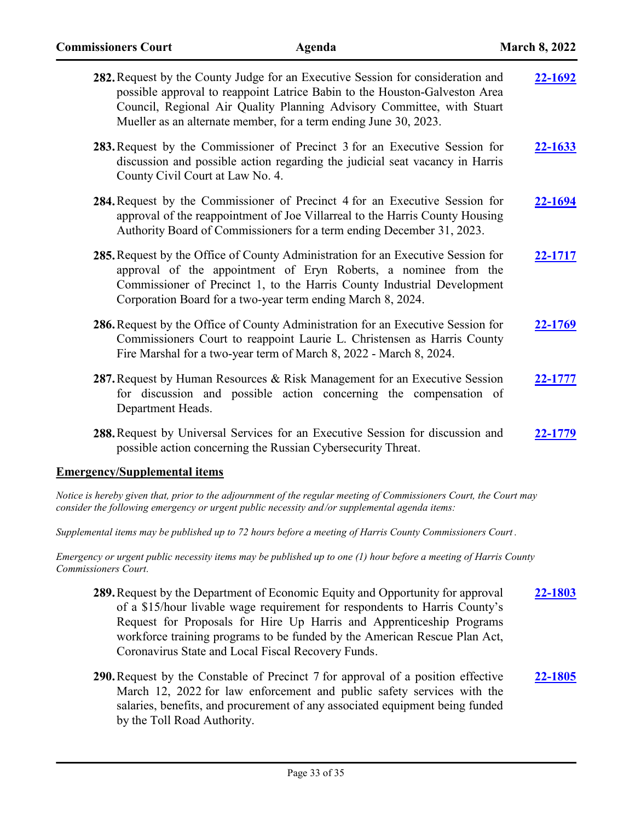| 282. Request by the County Judge for an Executive Session for consideration and<br>possible approval to reappoint Latrice Babin to the Houston-Galveston Area<br>Council, Regional Air Quality Planning Advisory Committee, with Stuart<br>Mueller as an alternate member, for a term ending June 30, 2023. | 22-1692 |
|-------------------------------------------------------------------------------------------------------------------------------------------------------------------------------------------------------------------------------------------------------------------------------------------------------------|---------|
| 283. Request by the Commissioner of Precinct 3 for an Executive Session for<br>discussion and possible action regarding the judicial seat vacancy in Harris<br>County Civil Court at Law No. 4.                                                                                                             | 22-1633 |
| 284. Request by the Commissioner of Precinct 4 for an Executive Session for<br>approval of the reappointment of Joe Villarreal to the Harris County Housing<br>Authority Board of Commissioners for a term ending December 31, 2023.                                                                        | 22-1694 |
| 285. Request by the Office of County Administration for an Executive Session for<br>approval of the appointment of Eryn Roberts, a nominee from the<br>Commissioner of Precinct 1, to the Harris County Industrial Development<br>Corporation Board for a two-year term ending March 8, 2024.               | 22-1717 |
| 286. Request by the Office of County Administration for an Executive Session for<br>Commissioners Court to reappoint Laurie L. Christensen as Harris County<br>Fire Marshal for a two-year term of March 8, 2022 - March 8, 2024.                                                                           | 22-1769 |
| 287. Request by Human Resources & Risk Management for an Executive Session<br>for discussion and possible action concerning the compensation of<br>Department Heads.                                                                                                                                        | 22-1777 |
| 288. Request by Universal Services for an Executive Session for discussion and<br>possible action concerning the Russian Cybersecurity Threat.                                                                                                                                                              | 22-1779 |
| <b>Emergency/Supplemental items</b>                                                                                                                                                                                                                                                                         |         |
| Notice is hereby given that, prior to the adjournment of the regular meeting of Commissioners Court, the Court may<br>consider the following emergency or urgent public necessity and/or supplemental agenda items:                                                                                         |         |

*Supplemental items may be published up to 72 hours before a meeting of Harris County Commissioners Court .* 

*Emergency or urgent public necessity items may be published up to one (1) hour before a meeting of Harris County Commissioners Court.*

- **289.**Request by the Department of Economic Equity and Opportunity for approval of a \$15/hour livable wage requirement for respondents to Harris County's Request for Proposals for Hire Up Harris and Apprenticeship Programs workforce training programs to be funded by the American Rescue Plan Act, Coronavirus State and Local Fiscal Recovery Funds. **[22-1803](http://harriscountytx.legistar.com/gateway.aspx?m=l&id=/matter.aspx?key=12347)**
- **290.**Request by the Constable of Precinct 7 for approval of a position effective March 12, 2022 for law enforcement and public safety services with the salaries, benefits, and procurement of any associated equipment being funded by the Toll Road Authority. **[22-1805](http://harriscountytx.legistar.com/gateway.aspx?m=l&id=/matter.aspx?key=12349)**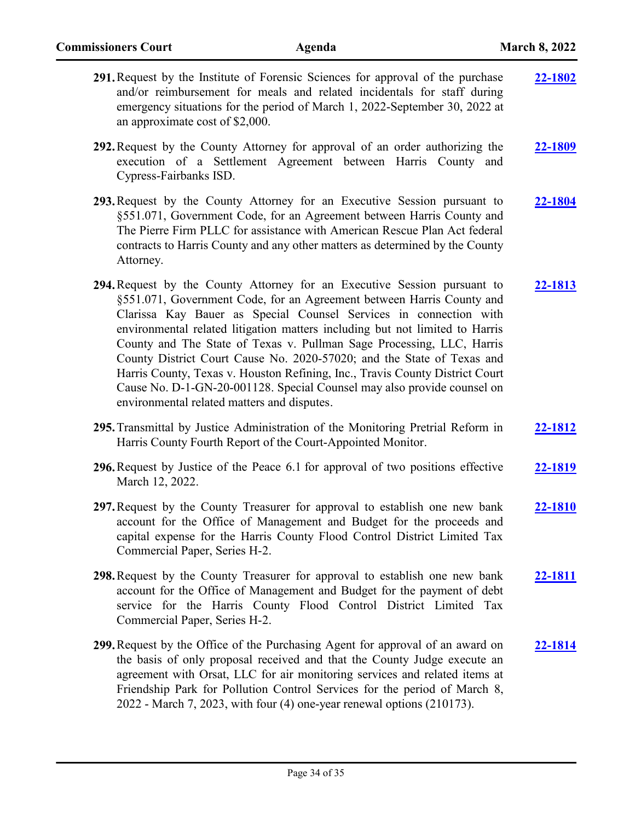| 291. Request by the Institute of Forensic Sciences for approval of the purchase<br>and/or reimbursement for meals and related incidentals for staff during<br>emergency situations for the period of March 1, 2022-September 30, 2022 at<br>an approximate cost of \$2,000.                                                                                                                                                                                                                                                                                                                                                                                         | 22-1802        |
|---------------------------------------------------------------------------------------------------------------------------------------------------------------------------------------------------------------------------------------------------------------------------------------------------------------------------------------------------------------------------------------------------------------------------------------------------------------------------------------------------------------------------------------------------------------------------------------------------------------------------------------------------------------------|----------------|
| 292. Request by the County Attorney for approval of an order authorizing the<br>execution of a Settlement Agreement between Harris County and<br>Cypress-Fairbanks ISD.                                                                                                                                                                                                                                                                                                                                                                                                                                                                                             | 22-1809        |
| 293. Request by the County Attorney for an Executive Session pursuant to<br>§551.071, Government Code, for an Agreement between Harris County and<br>The Pierre Firm PLLC for assistance with American Rescue Plan Act federal<br>contracts to Harris County and any other matters as determined by the County<br>Attorney.                                                                                                                                                                                                                                                                                                                                         | 22-1804        |
| 294. Request by the County Attorney for an Executive Session pursuant to<br>§551.071, Government Code, for an Agreement between Harris County and<br>Clarissa Kay Bauer as Special Counsel Services in connection with<br>environmental related litigation matters including but not limited to Harris<br>County and The State of Texas v. Pullman Sage Processing, LLC, Harris<br>County District Court Cause No. 2020-57020; and the State of Texas and<br>Harris County, Texas v. Houston Refining, Inc., Travis County District Court<br>Cause No. D-1-GN-20-001128. Special Counsel may also provide counsel on<br>environmental related matters and disputes. | 22-1813        |
| 295. Transmittal by Justice Administration of the Monitoring Pretrial Reform in<br>Harris County Fourth Report of the Court-Appointed Monitor.                                                                                                                                                                                                                                                                                                                                                                                                                                                                                                                      | 22-1812        |
| 296. Request by Justice of the Peace 6.1 for approval of two positions effective<br>March 12, 2022.                                                                                                                                                                                                                                                                                                                                                                                                                                                                                                                                                                 | <u>22-1819</u> |
| 297. Request by the County Treasurer for approval to establish one new bank<br>account for the Office of Management and Budget for the proceeds and<br>capital expense for the Harris County Flood Control District Limited Tax<br>Commercial Paper, Series H-2.                                                                                                                                                                                                                                                                                                                                                                                                    | 22-1810        |
| 298. Request by the County Treasurer for approval to establish one new bank<br>account for the Office of Management and Budget for the payment of debt<br>service for the Harris County Flood Control District Limited Tax<br>Commercial Paper, Series H-2.                                                                                                                                                                                                                                                                                                                                                                                                         | 22-1811        |
| 299. Request by the Office of the Purchasing Agent for approval of an award on<br>the basis of only proposal received and that the County Judge execute an<br>agreement with Orsat, LLC for air monitoring services and related items at<br>Friendship Park for Pollution Control Services for the period of March 8,<br>2022 - March 7, 2023, with four (4) one-year renewal options (210173).                                                                                                                                                                                                                                                                     | 22-1814        |